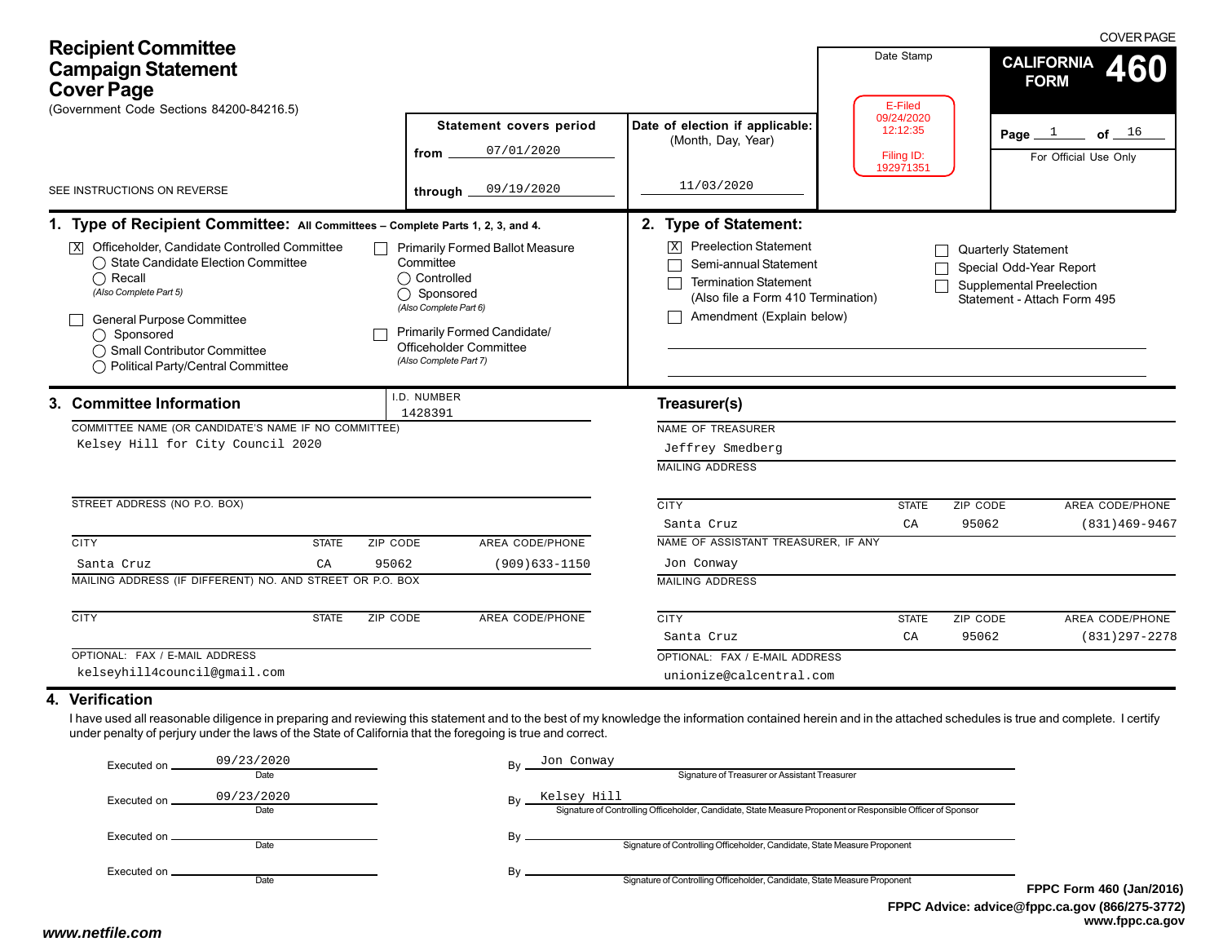| <b>Recipient Committee</b><br><b>Campaign Statement</b><br><b>Cover Page</b><br>(Government Code Sections 84200-84216.5)                                                                                                                                                                                                                                                                                                                                                                                                                                                                                                                                                                                                                   |                                                      |                                                                                                                                                                                                                                                                                               | Date Stamp<br>E-Filed                             | <b>COVER PAGE</b><br><b>CALIFORNIA</b><br>460<br><b>FORM</b>                                              |
|--------------------------------------------------------------------------------------------------------------------------------------------------------------------------------------------------------------------------------------------------------------------------------------------------------------------------------------------------------------------------------------------------------------------------------------------------------------------------------------------------------------------------------------------------------------------------------------------------------------------------------------------------------------------------------------------------------------------------------------------|------------------------------------------------------|-----------------------------------------------------------------------------------------------------------------------------------------------------------------------------------------------------------------------------------------------------------------------------------------------|---------------------------------------------------|-----------------------------------------------------------------------------------------------------------|
|                                                                                                                                                                                                                                                                                                                                                                                                                                                                                                                                                                                                                                                                                                                                            | <b>Statement covers period</b><br>07/01/2020<br>from | Date of election if applicable:<br>(Month, Day, Year)                                                                                                                                                                                                                                         | 09/24/2020<br>12:12:35<br>Filing ID:<br>192971351 | Page $1$<br>of $16$<br>For Official Use Only                                                              |
| SEE INSTRUCTIONS ON REVERSE                                                                                                                                                                                                                                                                                                                                                                                                                                                                                                                                                                                                                                                                                                                | 09/19/2020<br>through                                | 11/03/2020                                                                                                                                                                                                                                                                                    |                                                   |                                                                                                           |
| 1. Type of Recipient Committee: All Committees - Complete Parts 1, 2, 3, and 4.<br>Officeholder, Candidate Controlled Committee<br><b>Primarily Formed Ballot Measure</b><br>$\vert x \vert$<br>$\Box$<br>◯ State Candidate Election Committee<br>Committee<br>◯ Controlled<br>$\bigcap$ Recall<br>(Also Complete Part 5)<br>◯ Sponsored<br>(Also Complete Part 6)<br>General Purpose Committee<br><b>Primarily Formed Candidate/</b><br>$\bigcap$ Sponsored<br>Officeholder Committee<br>◯ Small Contributor Committee<br>(Also Complete Part 7)<br>◯ Political Party/Central Committee<br>.D. NUMBER<br>3. Committee Information<br>1428391<br>COMMITTEE NAME (OR CANDIDATE'S NAME IF NO COMMITTEE)<br>Kelsey Hill for City Council 2020 |                                                      | 2. Type of Statement:<br><b>Preelection Statement</b><br>$\overline{X}$<br>Semi-annual Statement<br><b>Termination Statement</b><br>(Also file a Form 410 Termination)<br>Amendment (Explain below)<br>Treasurer(s)<br><b>NAME OF TREASURER</b><br>Jeffrey Smedberg<br><b>MAILING ADDRESS</b> |                                                   | Quarterly Statement<br>Special Odd-Year Report<br>Supplemental Preelection<br>Statement - Attach Form 495 |
| STREET ADDRESS (NO P.O. BOX)                                                                                                                                                                                                                                                                                                                                                                                                                                                                                                                                                                                                                                                                                                               |                                                      | <b>CITY</b><br>Santa Cruz                                                                                                                                                                                                                                                                     | <b>STATE</b><br>CA                                | ZIP CODE<br>AREA CODE/PHONE<br>95062<br>$(831)469 - 9467$                                                 |
| <b>CITY</b><br><b>STATE</b><br>ZIP CODE                                                                                                                                                                                                                                                                                                                                                                                                                                                                                                                                                                                                                                                                                                    | AREA CODE/PHONE                                      | NAME OF ASSISTANT TREASURER, IF ANY                                                                                                                                                                                                                                                           |                                                   |                                                                                                           |
| 95062<br>Santa Cruz<br>CA                                                                                                                                                                                                                                                                                                                                                                                                                                                                                                                                                                                                                                                                                                                  | $(909)633 - 1150$                                    | Jon Conway                                                                                                                                                                                                                                                                                    |                                                   |                                                                                                           |
| MAILING ADDRESS (IF DIFFERENT) NO. AND STREET OR P.O. BOX                                                                                                                                                                                                                                                                                                                                                                                                                                                                                                                                                                                                                                                                                  |                                                      | <b>MAILING ADDRESS</b>                                                                                                                                                                                                                                                                        |                                                   |                                                                                                           |
| <b>CITY</b><br><b>ZIP CODE</b><br><b>STATE</b>                                                                                                                                                                                                                                                                                                                                                                                                                                                                                                                                                                                                                                                                                             | AREA CODE/PHONE                                      | <b>CITY</b>                                                                                                                                                                                                                                                                                   | <b>STATE</b>                                      | ZIP CODE<br>AREA CODE/PHONE                                                                               |
|                                                                                                                                                                                                                                                                                                                                                                                                                                                                                                                                                                                                                                                                                                                                            |                                                      | Santa Cruz                                                                                                                                                                                                                                                                                    | CA                                                | 95062<br>$(831)297 - 2278$                                                                                |
| OPTIONAL: FAX / E-MAIL ADDRESS                                                                                                                                                                                                                                                                                                                                                                                                                                                                                                                                                                                                                                                                                                             |                                                      | OPTIONAL: FAX / E-MAIL ADDRESS                                                                                                                                                                                                                                                                |                                                   |                                                                                                           |
| kelseyhill4council@gmail.com                                                                                                                                                                                                                                                                                                                                                                                                                                                                                                                                                                                                                                                                                                               |                                                      | unionize@calcentral.com                                                                                                                                                                                                                                                                       |                                                   |                                                                                                           |
| 4. Verification<br>I have used all reasonable diligence in preparing and reviewing this statement and to the best of my knowledge the information contained herein and in the attached schedules is true and complete. I certify<br>under penalty of perjury under the laws of the State of California that the foregoing is true and correct.                                                                                                                                                                                                                                                                                                                                                                                             |                                                      |                                                                                                                                                                                                                                                                                               |                                                   |                                                                                                           |

#### By Jon Conway<br>Signature of Treasurer or Assistant Treasurer By Signature of Controlling Officeholder, Candidate, State Measure Proponent or Responsible Officer of Sponsor Kelsey Hill By  $\overline{\phantom{0}}$  Signature of Controlling Officeholder, Candidate, State Measure Proponent By  $\frac{S}{S}$  Signature of Controlling Officeholder, Candidate, State Measure Proponent Executed on \_ Date Executed on  $\frac{09/23/201}{\text{Date}}$ Executed on DateExecuted on Date09/23/2020 Jon Conway 09/23/2020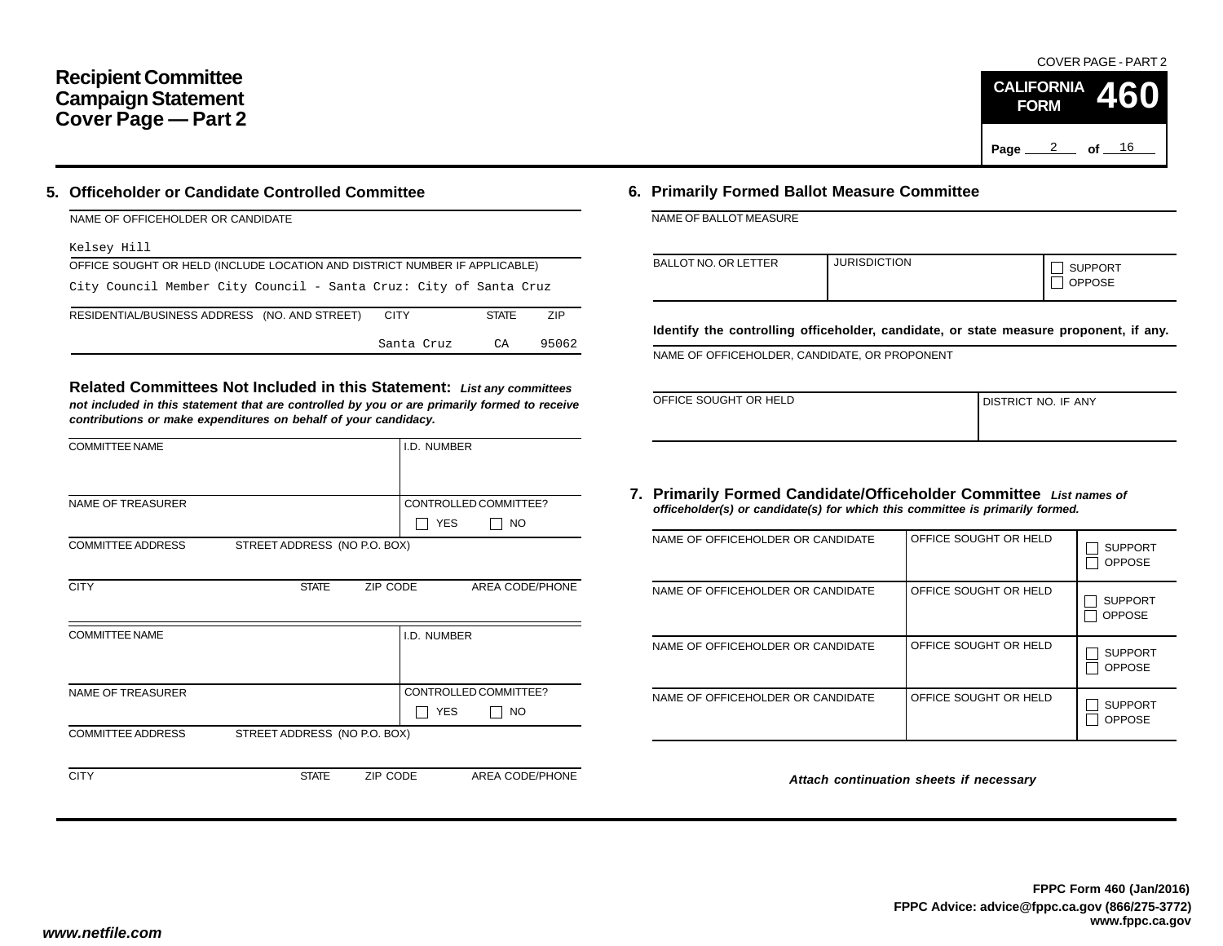## **Recipient Committee Campaign Statement Cover Page — Part 2**

## **5. Officeholder or Candidate Controlled Committee**

| NAME OF OFFICEHOLDER OR CANDIDATE                                          |             |              |            |
|----------------------------------------------------------------------------|-------------|--------------|------------|
| Kelsey Hill                                                                |             |              |            |
| OFFICE SOUGHT OR HELD (INCLUDE LOCATION AND DISTRICT NUMBER IF APPLICABLE) |             |              |            |
| City Council Member City Council - Santa Cruz: City of Santa Cruz          |             |              |            |
| RESIDENTIAL/BUSINESS ADDRESS (NO. AND STREET)                              | <b>CITY</b> | <b>STATE</b> | <b>ZIP</b> |
|                                                                            | Santa Cruz  | CA           | 95062      |

**Related Committees Not Included in this Statement:** *List any committees not included in this statement that are controlled by you or are primarily formed to receive contributions or make expenditures on behalf of your candidacy.*

| <b>COMMITTEE NAME</b>    |                              |          | I.D. NUMBER |                       |
|--------------------------|------------------------------|----------|-------------|-----------------------|
|                          |                              |          |             |                       |
| <b>NAME OF TREASURER</b> |                              |          |             | CONTROLLED COMMITTEE? |
|                          |                              |          | <b>YES</b>  | <b>NO</b>             |
| <b>COMMITTEE ADDRESS</b> | STREET ADDRESS (NO P.O. BOX) |          |             |                       |
|                          |                              |          |             |                       |
| <b>CITY</b>              | <b>STATE</b>                 | ZIP CODE |             | AREA CODE/PHONE       |
|                          |                              |          |             |                       |
| <b>COMMITTEE NAME</b>    |                              |          | I.D. NUMBER |                       |
|                          |                              |          |             |                       |
|                          |                              |          |             |                       |
| NAME OF TREASURER        |                              |          |             | CONTROLLED COMMITTEE? |
|                          |                              |          | <b>YES</b>  | NO.                   |
| <b>COMMITTEE ADDRESS</b> | STREET ADDRESS (NO P.O. BOX) |          |             |                       |
|                          |                              |          |             |                       |
| <b>CITY</b>              | <b>STATE</b>                 | ZIP CODE |             | AREA CODE/PHONE       |
|                          |                              |          |             |                       |

## **6. Primarily Formed Ballot Measure Committee**

NAME OF BALLOT MEASURE

| <b>BALLOT NO. OR LETTER</b> | <b>JURISDICTION</b> | <b>SUPPORT</b><br><b>OPPOSE</b> |
|-----------------------------|---------------------|---------------------------------|
|-----------------------------|---------------------|---------------------------------|

**Identify the controlling officeholder, candidate, or state measure proponent, if any.**

NAME OF OFFICEHOLDER, CANDIDATE, OR PROPONENT

| OFFICE SOUGHT OR HELD | DISTRICT NO. IF ANY |
|-----------------------|---------------------|
|                       |                     |

#### **7. Primarily Formed Candidate/Officeholder Committee** *List names of officeholder(s) or candidate(s) for which this committee is primarily formed.*

| NAME OF OFFICEHOLDER OR CANDIDATE | OFFICE SOUGHT OR HELD | <b>SUPPORT</b><br><b>OPPOSE</b> |
|-----------------------------------|-----------------------|---------------------------------|
| NAME OF OFFICEHOLDER OR CANDIDATE | OFFICE SOUGHT OR HELD | <b>SUPPORT</b><br><b>OPPOSE</b> |
| NAME OF OFFICEHOLDER OR CANDIDATE | OFFICE SOUGHT OR HELD | <b>SUPPORT</b><br><b>OPPOSE</b> |
| NAME OF OFFICEHOLDER OR CANDIDATE | OFFICE SOUGHT OR HELD | <b>SUPPORT</b><br><b>OPPOSE</b> |

*Attach continuation sheets if necessary*

COVER PAGE - PART 2

**460**

Page <u>2</u> of <u>16</u>

**CALIFORNIA FORM**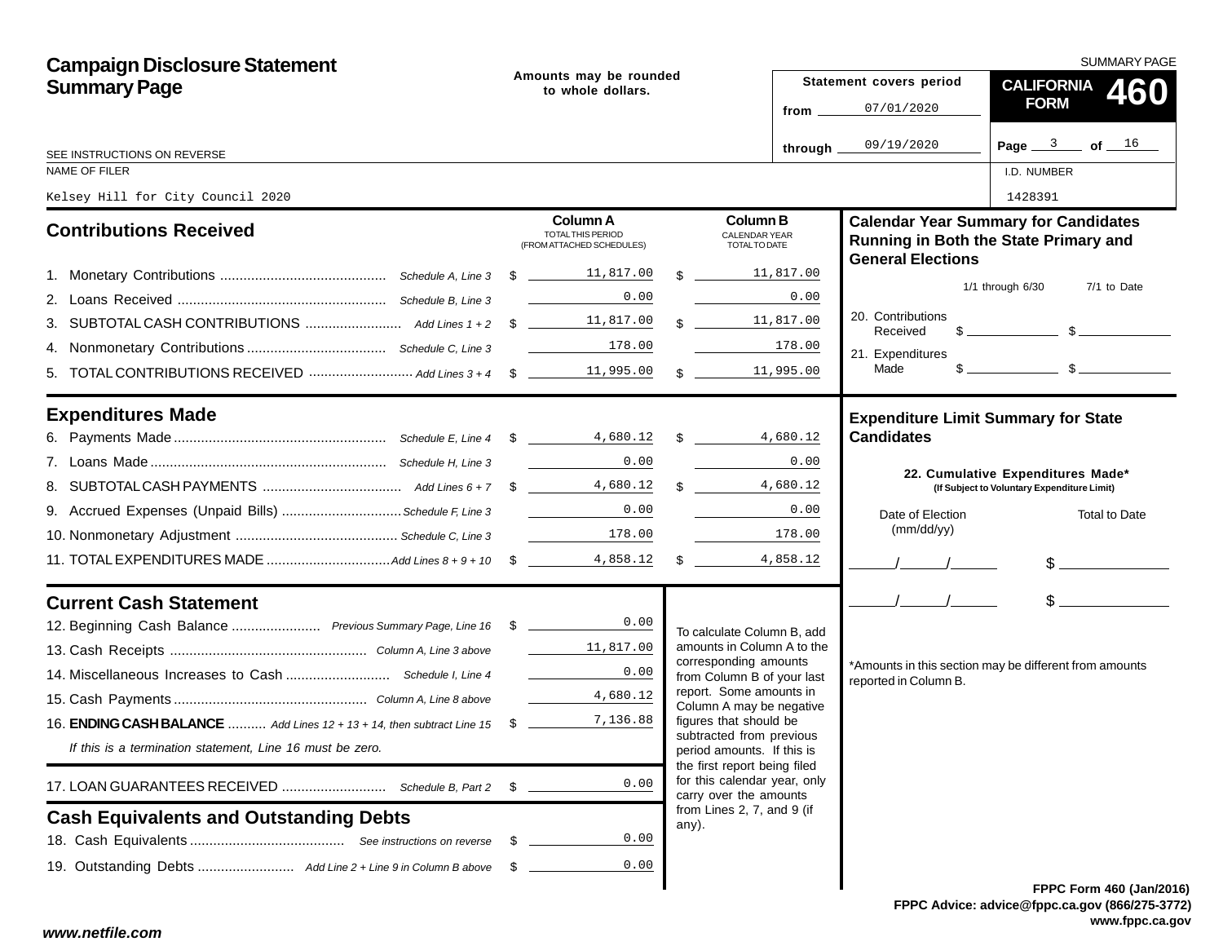| <b>Campaign Disclosure Statement</b>                                              |                                             |                                                                   |  |                                                                                        | <b>SUMMARY PAGE</b>           |                                                                                                                                                                                                                                                                                                                     |  |  |  |
|-----------------------------------------------------------------------------------|---------------------------------------------|-------------------------------------------------------------------|--|----------------------------------------------------------------------------------------|-------------------------------|---------------------------------------------------------------------------------------------------------------------------------------------------------------------------------------------------------------------------------------------------------------------------------------------------------------------|--|--|--|
| <b>Summary Page</b>                                                               | Amounts may be rounded<br>to whole dollars. |                                                                   |  |                                                                                        | Statement covers period       | CALIFORNIA 460                                                                                                                                                                                                                                                                                                      |  |  |  |
|                                                                                   |                                             |                                                                   |  | from $\overline{\phantom{0}}$                                                          | 07/01/2020                    | <b>FORM</b>                                                                                                                                                                                                                                                                                                         |  |  |  |
| SEE INSTRUCTIONS ON REVERSE                                                       |                                             |                                                                   |  | through.                                                                               | 09/19/2020                    | Page $3$ of $16$                                                                                                                                                                                                                                                                                                    |  |  |  |
| NAME OF FILER                                                                     |                                             |                                                                   |  |                                                                                        |                               | I.D. NUMBER                                                                                                                                                                                                                                                                                                         |  |  |  |
| Kelsey Hill for City Council 2020                                                 |                                             |                                                                   |  |                                                                                        |                               | 1428391                                                                                                                                                                                                                                                                                                             |  |  |  |
| <b>Contributions Received</b>                                                     |                                             | <b>Column A</b><br>TOTAL THIS PERIOD<br>(FROM ATTACHED SCHEDULES) |  | <b>Column B</b><br><b>CALENDAR YEAR</b><br>TOTAL TO DATE                               | <b>General Elections</b>      | <b>Calendar Year Summary for Candidates</b><br>Running in Both the State Primary and                                                                                                                                                                                                                                |  |  |  |
|                                                                                   |                                             |                                                                   |  | \$11,817.00                                                                            |                               |                                                                                                                                                                                                                                                                                                                     |  |  |  |
|                                                                                   |                                             | 0.00                                                              |  | 0.00                                                                                   |                               | $1/1$ through $6/30$<br>7/1 to Date                                                                                                                                                                                                                                                                                 |  |  |  |
|                                                                                   |                                             |                                                                   |  | $\frac{11,817,00}{\frac{11,817}{\frac{1}{2}}}$                                         | 20. Contributions<br>Received | $\frac{1}{2}$ $\frac{1}{2}$ $\frac{1}{2}$ $\frac{1}{2}$ $\frac{1}{2}$ $\frac{1}{2}$ $\frac{1}{2}$ $\frac{1}{2}$ $\frac{1}{2}$ $\frac{1}{2}$ $\frac{1}{2}$ $\frac{1}{2}$ $\frac{1}{2}$ $\frac{1}{2}$ $\frac{1}{2}$ $\frac{1}{2}$ $\frac{1}{2}$ $\frac{1}{2}$ $\frac{1}{2}$ $\frac{1}{2}$ $\frac{1}{2}$ $\frac{1}{2}$ |  |  |  |
|                                                                                   |                                             | $\overline{\qquad \qquad 178.00}$                                 |  | 178.00                                                                                 | 21. Expenditures              |                                                                                                                                                                                                                                                                                                                     |  |  |  |
|                                                                                   |                                             |                                                                   |  | $\frac{11,995.00}{\sqrt{11}}$                                                          | Made                          |                                                                                                                                                                                                                                                                                                                     |  |  |  |
| <b>Expenditures Made</b>                                                          |                                             |                                                                   |  |                                                                                        |                               | <b>Expenditure Limit Summary for State</b>                                                                                                                                                                                                                                                                          |  |  |  |
|                                                                                   |                                             |                                                                   |  |                                                                                        | <b>Candidates</b>             |                                                                                                                                                                                                                                                                                                                     |  |  |  |
|                                                                                   |                                             | <u> 1990 - Jan Barnett, fransk politiker</u><br>0.00              |  | 0.00                                                                                   |                               | 22. Cumulative Expenditures Made*                                                                                                                                                                                                                                                                                   |  |  |  |
|                                                                                   |                                             |                                                                   |  | \$4,680.12                                                                             |                               | (If Subject to Voluntary Expenditure Limit)                                                                                                                                                                                                                                                                         |  |  |  |
| 9. Accrued Expenses (Unpaid Bills) Schedule F, Line 3                             |                                             | 0.00                                                              |  | 0.00                                                                                   | Date of Election              | <b>Total to Date</b>                                                                                                                                                                                                                                                                                                |  |  |  |
|                                                                                   |                                             | $\begin{array}{c c} \hline & 178.00 \end{array}$                  |  | 178.00                                                                                 | (mm/dd/yy)                    |                                                                                                                                                                                                                                                                                                                     |  |  |  |
|                                                                                   |                                             |                                                                   |  | 4,858.12<br>$\frac{1}{2}$                                                              |                               | $\frac{1}{2}$                                                                                                                                                                                                                                                                                                       |  |  |  |
| <b>Current Cash Statement</b>                                                     |                                             |                                                                   |  |                                                                                        | $\frac{1}{2}$                 | $\sim$                                                                                                                                                                                                                                                                                                              |  |  |  |
| 12. Beginning Cash Balance  Previous Summary Page, Line 16 \$ _______________0.00 |                                             |                                                                   |  | To calculate Column B, add                                                             |                               |                                                                                                                                                                                                                                                                                                                     |  |  |  |
|                                                                                   |                                             | 11,817.00                                                         |  | amounts in Column A to the<br>corresponding amounts                                    |                               |                                                                                                                                                                                                                                                                                                                     |  |  |  |
|                                                                                   |                                             | 0.00                                                              |  | from Column B of your last                                                             | reported in Column B.         | *Amounts in this section may be different from amounts                                                                                                                                                                                                                                                              |  |  |  |
|                                                                                   |                                             | 4,680.12                                                          |  | report. Some amounts in<br>Column A may be negative                                    |                               |                                                                                                                                                                                                                                                                                                                     |  |  |  |
| 16. ENDING CASH BALANCE  Add Lines 12 + 13 + 14, then subtract Line 15 \$         |                                             | 7,136.88                                                          |  | figures that should be                                                                 |                               |                                                                                                                                                                                                                                                                                                                     |  |  |  |
| If this is a termination statement, Line 16 must be zero.                         |                                             |                                                                   |  | subtracted from previous<br>period amounts. If this is<br>the first report being filed |                               |                                                                                                                                                                                                                                                                                                                     |  |  |  |
| 17. LOAN GUARANTEES RECEIVED  Schedule B, Part 2                                  | \$                                          | 0.00                                                              |  | for this calendar year, only<br>carry over the amounts                                 |                               |                                                                                                                                                                                                                                                                                                                     |  |  |  |
| <b>Cash Equivalents and Outstanding Debts</b>                                     |                                             |                                                                   |  | from Lines 2, 7, and 9 (if<br>any).                                                    |                               |                                                                                                                                                                                                                                                                                                                     |  |  |  |
|                                                                                   | - \$                                        | 0.00                                                              |  |                                                                                        |                               |                                                                                                                                                                                                                                                                                                                     |  |  |  |
|                                                                                   | - \$                                        | 0.00                                                              |  |                                                                                        |                               |                                                                                                                                                                                                                                                                                                                     |  |  |  |
|                                                                                   |                                             |                                                                   |  |                                                                                        |                               | FPPC Form 460 (Jan/201                                                                                                                                                                                                                                                                                              |  |  |  |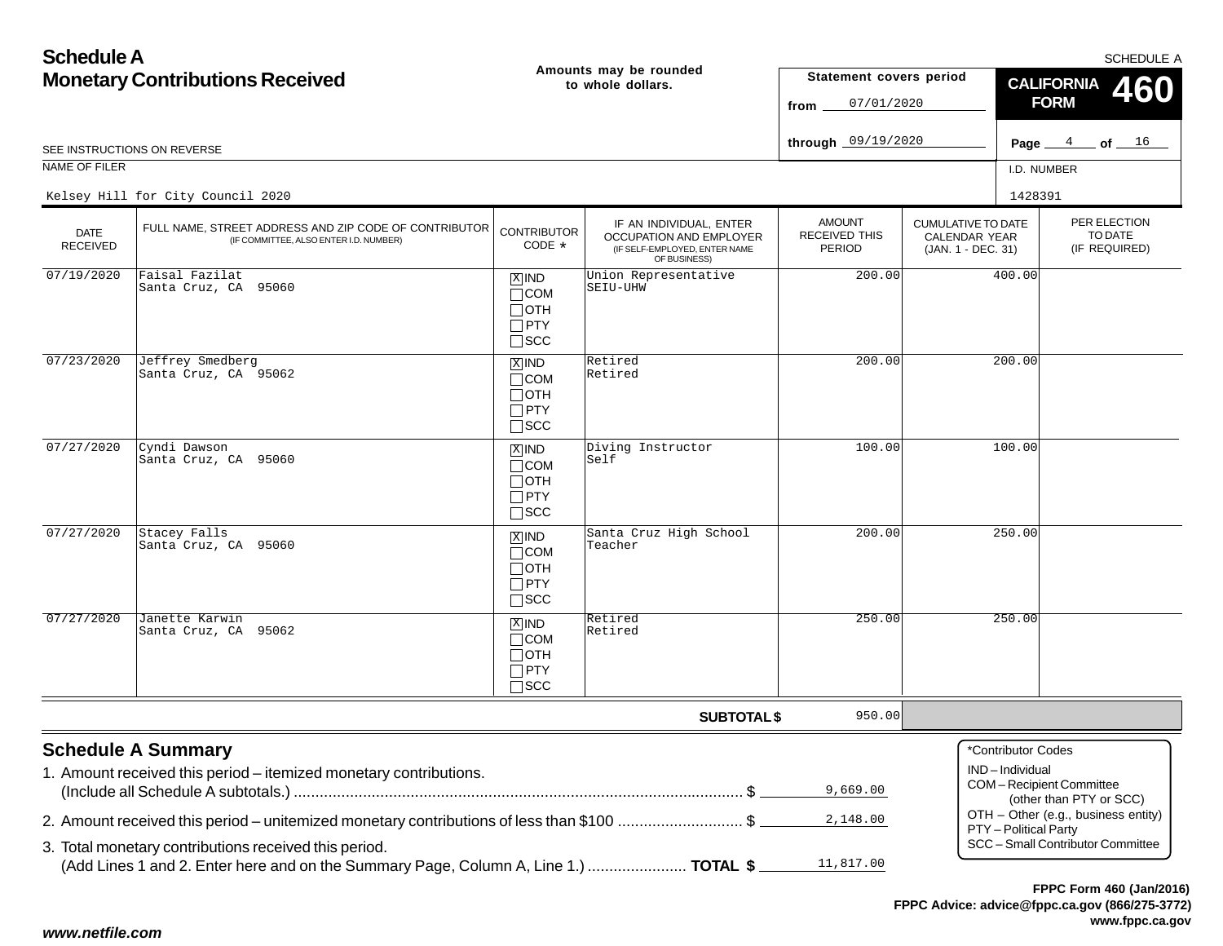| <b>Schedule A</b>                      |                                                                                                 |                                                                    |                                                                                                     |                                                 |                                                                  |                                         | <b>SCHEDULE A</b>                                  |  |
|----------------------------------------|-------------------------------------------------------------------------------------------------|--------------------------------------------------------------------|-----------------------------------------------------------------------------------------------------|-------------------------------------------------|------------------------------------------------------------------|-----------------------------------------|----------------------------------------------------|--|
| <b>Monetary Contributions Received</b> |                                                                                                 |                                                                    | Amounts may be rounded<br>to whole dollars.                                                         | Statement covers period<br>07/01/2020<br>from   |                                                                  | <b>CALIFORNIA</b><br>460<br><b>FORM</b> |                                                    |  |
|                                        | SEE INSTRUCTIONS ON REVERSE                                                                     |                                                                    |                                                                                                     | through 09/19/2020                              |                                                                  |                                         | Page $4$ of $16$                                   |  |
| NAME OF FILER                          |                                                                                                 |                                                                    |                                                                                                     |                                                 |                                                                  | I.D. NUMBER                             |                                                    |  |
|                                        | Kelsey Hill for City Council 2020                                                               |                                                                    |                                                                                                     |                                                 |                                                                  | 1428391                                 |                                                    |  |
| <b>DATE</b><br><b>RECEIVED</b>         | FULL NAME, STREET ADDRESS AND ZIP CODE OF CONTRIBUTOR<br>(IF COMMITTEE, ALSO ENTER I.D. NUMBER) | <b>CONTRIBUTOR</b><br>CODE *                                       | IF AN INDIVIDUAL, ENTER<br>OCCUPATION AND EMPLOYER<br>(IF SELF-EMPLOYED, ENTER NAME<br>OF BUSINESS) | <b>AMOUNT</b><br><b>RECEIVED THIS</b><br>PERIOD | <b>CUMULATIVE TO DATE</b><br>CALENDAR YEAR<br>(JAN. 1 - DEC. 31) |                                         | PER ELECTION<br>TO DATE<br>(IF REQUIRED)           |  |
| 07/19/2020                             | Faisal Fazilat<br>Santa Cruz, CA 95060                                                          | $X$ IND<br>$\Box$ COM<br>$\Box$ OTH<br>$\Box$ PTY<br>$\square$ SCC | Union Representative<br>SEIU-UHW                                                                    | 200.00                                          |                                                                  | 400.00                                  |                                                    |  |
| 07/23/2020                             | Jeffrey Smedberg<br>Santa Cruz, CA 95062                                                        | $X$ IND<br>$\Box$ COM<br>$\Box$ OTH<br>$\Box$ PTY<br>$\square$ SCC | Retired<br>Retired                                                                                  | 200.00                                          |                                                                  | 200.00                                  |                                                    |  |
| 07/27/2020                             | Cyndi Dawson<br>Santa Cruz, CA 95060                                                            | $X$ IND<br>$\Box$ COM<br>$\Box$ OTH<br>$\Box$ PTY<br>$\square$ SCC | Diving Instructor<br>Self                                                                           | 100.00                                          |                                                                  | 100.00                                  |                                                    |  |
| 07/27/2020                             | Stacey Falls<br>Santa Cruz, CA 95060                                                            | $X$ IND<br>$\Box$ COM<br>$\Box$ OTH<br>$\Box$ PTY<br>$\square$ SCC | Santa Cruz High School<br>Teacher                                                                   | 200.00                                          |                                                                  | 250.00                                  |                                                    |  |
| 07/27/2020                             | Janette Karwin<br>Santa Cruz, CA 95062                                                          | $X$ IND<br>$\Box$ COM<br>$\Box$ OTH<br>$\Box$ PTY<br>$\square$ SCC | Retired<br>Retired                                                                                  | 250.00                                          |                                                                  | 250.00                                  |                                                    |  |
|                                        |                                                                                                 |                                                                    | <b>SUBTOTAL \$</b>                                                                                  | 950.00                                          |                                                                  |                                         |                                                    |  |
|                                        | <b>Schedule A Summary</b><br>1. Amount received this period - itemized monetary contributions.  |                                                                    |                                                                                                     | 9,669.00                                        |                                                                  | *Contributor Codes<br>IND-Individual    | COM-Recipient Committee<br>(other than PTY or SCC) |  |
|                                        | 2. Amount received this period – unitemized monetary contributions of less than \$100 \$        |                                                                    |                                                                                                     | 2,148.00                                        |                                                                  | PTY - Political Party                   | OTH - Other (e.g., business entity)                |  |
|                                        | 3. Total monetary contributions received this period.                                           |                                                                    |                                                                                                     |                                                 |                                                                  |                                         | SCC - Small Contributor Committee                  |  |
|                                        | (Add Lines 1 and 2. Enter here and on the Summary Page, Column A, Line 1.)  TOTAL \$            |                                                                    |                                                                                                     | 11,817.00                                       |                                                                  |                                         |                                                    |  |

**FPPC Advice: advice@fppc.ca.gov (866/275-3772) www.fppc.ca.gov FPPC Form 460 (Jan/2016)**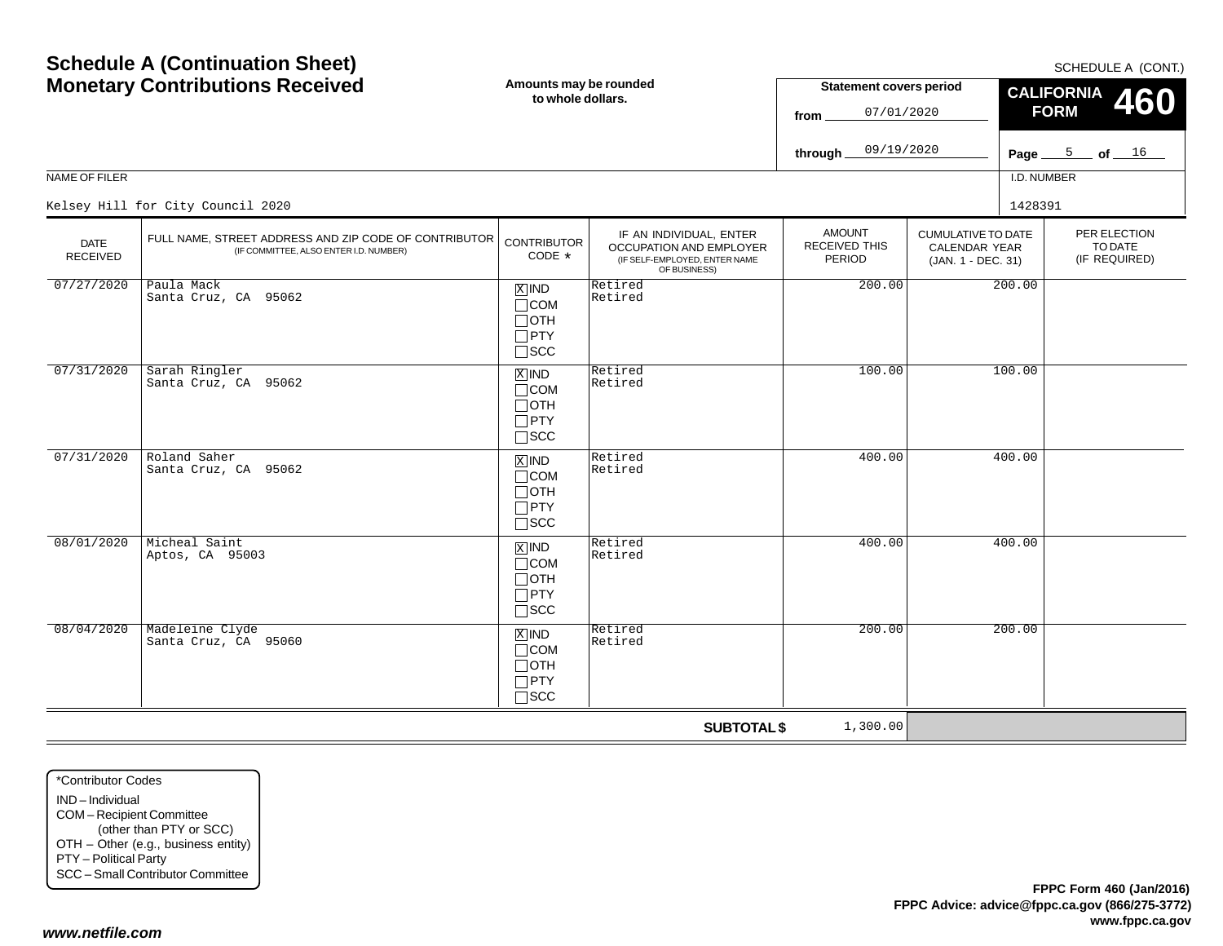|                                |                                                                                                 |                                                                            |                                                                                                     | 07/01/2020<br>from .                            |                                                                         | FORM<br>u s                              |
|--------------------------------|-------------------------------------------------------------------------------------------------|----------------------------------------------------------------------------|-----------------------------------------------------------------------------------------------------|-------------------------------------------------|-------------------------------------------------------------------------|------------------------------------------|
|                                |                                                                                                 |                                                                            |                                                                                                     | 09/19/2020<br>through.                          |                                                                         | $\frac{5}{2}$ of $\frac{16}{2}$<br>Page_ |
| NAME OF FILER                  |                                                                                                 |                                                                            |                                                                                                     |                                                 |                                                                         | I.D. NUMBER                              |
|                                | Kelsey Hill for City Council 2020                                                               |                                                                            |                                                                                                     |                                                 |                                                                         | 1428391                                  |
| <b>DATE</b><br><b>RECEIVED</b> | FULL NAME, STREET ADDRESS AND ZIP CODE OF CONTRIBUTOR<br>(IF COMMITTEE, ALSO ENTER I.D. NUMBER) | <b>CONTRIBUTOR</b><br>$CODE *$                                             | IF AN INDIVIDUAL, ENTER<br>OCCUPATION AND EMPLOYER<br>(IF SELF-EMPLOYED, ENTER NAME<br>OF BUSINESS) | <b>AMOUNT</b><br><b>RECEIVED THIS</b><br>PERIOD | <b>CUMULATIVE TO DATE</b><br><b>CALENDAR YEAR</b><br>(JAN. 1 - DEC. 31) | PER ELECTIC<br>TO DATE<br>(IF REQUIRE)   |
| 07/27/2020                     | Paula Mack<br>Santa Cruz, CA 95062                                                              | $\overline{X}$ IND<br>$\Box$ COM<br>$\Box$ OTH<br>$\Box$ PTY<br>$\Box$ scc | Retired<br>Retired                                                                                  | 200.00                                          | 200.00                                                                  |                                          |
| 07/31/2020                     | Sarah Ringler<br>Santa Cruz, CA 95062                                                           | $X$ IND<br>$\Box$ COM<br>$\Box$ OTH<br>$\Box$ PTY<br>$\Box$ scc            | Retired<br>Retired                                                                                  | 100.00                                          | 100.00                                                                  |                                          |
| 07/31/2020                     | Roland Saher<br>Santa Cruz, CA 95062                                                            | $X$ IND<br>$\Box$ COM<br>$\Box$ OTH<br>$\Box$ PTY<br>$\Box$ scc            | Retired<br>Retired                                                                                  | 400.00                                          | 400.00                                                                  |                                          |
| 08/01/2020                     | Micheal Saint<br>Aptos, CA 95003                                                                | $x$ IND<br>$\Box$ COM<br>$\Box$ OTH<br>$\Box$ PTY<br>$\square$ scc         | Retired<br>Retired                                                                                  | 400.00                                          | 400.00                                                                  |                                          |
| 08/04/2020                     | Madeleine Clyde<br>Santa Cruz, CA 95060                                                         | $X$ IND<br>$\Box$ COM<br>$\Box$ OTH                                        | Retired<br>Retired                                                                                  | 200.00                                          | 200.00                                                                  |                                          |

PTY SCC

**SUBTOTAL \$**

1,300.00

**Monetary Contributions Received**

**Schedule A (Continuation Sheet)**

**Amounts may be rounded**

**to whole dollars.**

SCHEDULE A (CONT.)

PER ELECTIONTO DATE(IF REQUIRED)

**460**

**CALIFORNIA FORM**

**Statement covers period**

IND – IndividualCOM – Recipient Committee (other than PTY or SCC) OTH – Other (e.g., business entity) PTY – Political Party SCC – Small Contributor Committee

*www.netfile.com*

\*Contributor Codes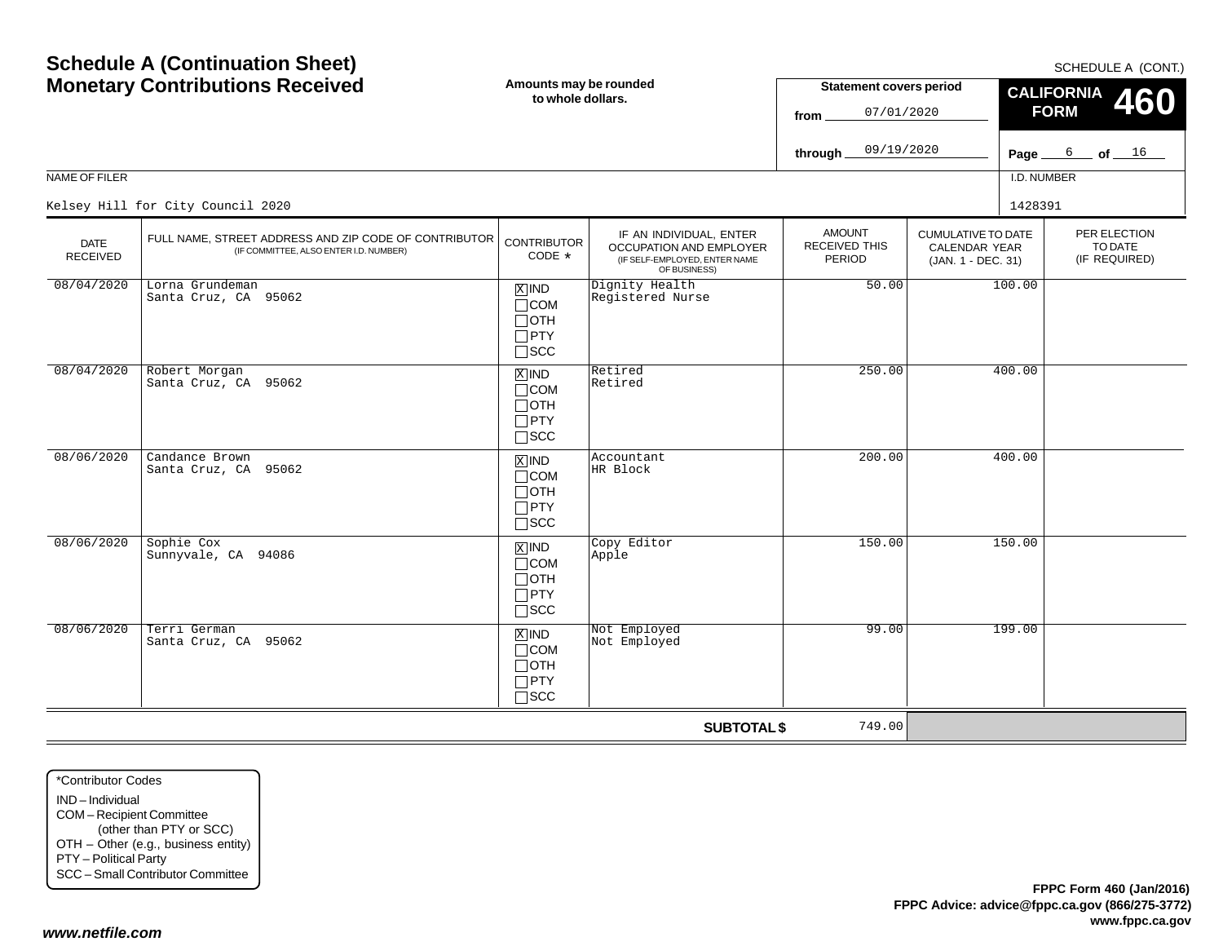|                                | <b>Monetary Contributions Received</b><br>Amounts may be rounded<br><b>Statement covers period</b><br>to whole dollars.<br>07/01/2020<br>from |                                                                                   |                                                                                                     | <b>CALIFORNIA</b><br><b>FORM</b>                |                                                                         | 460         |                               |         |                        |
|--------------------------------|-----------------------------------------------------------------------------------------------------------------------------------------------|-----------------------------------------------------------------------------------|-----------------------------------------------------------------------------------------------------|-------------------------------------------------|-------------------------------------------------------------------------|-------------|-------------------------------|---------|------------------------|
|                                |                                                                                                                                               |                                                                                   |                                                                                                     | 09/19/2020<br>through.                          |                                                                         | Page        | 6                             |         | $\_$ of $\_$ $16$ $\_$ |
| NAME OF FILER                  |                                                                                                                                               |                                                                                   |                                                                                                     |                                                 |                                                                         | I.D. NUMBER |                               |         |                        |
|                                | Kelsey Hill for City Council 2020                                                                                                             |                                                                                   |                                                                                                     |                                                 |                                                                         | 1428391     |                               |         |                        |
| <b>DATE</b><br><b>RECEIVED</b> | FULL NAME, STREET ADDRESS AND ZIP CODE OF CONTRIBUTOR<br>(IF COMMITTEE, ALSO ENTER I.D. NUMBER)                                               | <b>CONTRIBUTOR</b><br>$CODE *$                                                    | IF AN INDIVIDUAL, ENTER<br>OCCUPATION AND EMPLOYER<br>(IF SELF-EMPLOYED, ENTER NAME<br>OF BUSINESS) | <b>AMOUNT</b><br><b>RECEIVED THIS</b><br>PERIOD | <b>CUMULATIVE TO DATE</b><br><b>CALENDAR YEAR</b><br>(JAN. 1 - DEC. 31) |             | PER ELECTION<br>(IF REQUIRED) | TO DATE |                        |
| 08/04/2020                     | Lorna Grundeman<br>Santa Cruz, CA 95062                                                                                                       | $X$ IND<br>$\Box$ COM<br>$\Box$ OTH<br>$\Box$ PTY<br>$\Box$ scc                   | Dignity Health<br>Registered Nurse                                                                  | 50.00                                           |                                                                         | 100.00      |                               |         |                        |
| 08/04/2020                     | Robert Morgan<br>Santa Cruz, CA 95062                                                                                                         | $X$ IND<br>$\Box$ COM<br>$\Box$ OTH<br>$\Box$ PTY<br>$\Box$ SCC                   | Retired<br>Retired                                                                                  | 250.00                                          |                                                                         | 400.00      |                               |         |                        |
| 08/06/2020                     | Candance Brown<br>Santa Cruz, CA 95062                                                                                                        | $X$ IND<br>$\Box$ COM<br>$\Box$ OTH<br>$\Box$ PTY<br>$\Box$ scc                   | Accountant<br>HR Block                                                                              | 200.00                                          |                                                                         | 400.00      |                               |         |                        |
| 08/06/2020                     | Sophie Cox<br>Sunnyvale, CA 94086                                                                                                             | $\boxed{\text{X}}$ IND<br>$\Box$ COM<br>$\Box$ OTH<br>$\Box$ PTY<br>$\square$ SCC | Copy Editor<br>Apple                                                                                | 150.00                                          |                                                                         | 150.00      |                               |         |                        |
| 08/06/2020                     | Terri German<br>Santa Cruz, CA 95062                                                                                                          | $X$ IND<br>$\Box$ COM<br>$\Box$ OTH<br>$\Box$ PTY<br>$\square$ SCC                | Not Employed<br>Not Employed                                                                        | 99.00                                           |                                                                         | 199.00      |                               |         |                        |

**SUBTOTAL \$**

749.00

\*Contributor CodesIND – Individual COM – Recipient Committee (other than PTY or SCC) OTH – Other (e.g., business entity) PTY – Political Party SCC – Small Contributor Committee

**Schedule A (Continuation Sheet)**

SCHEDULE A (CONT.)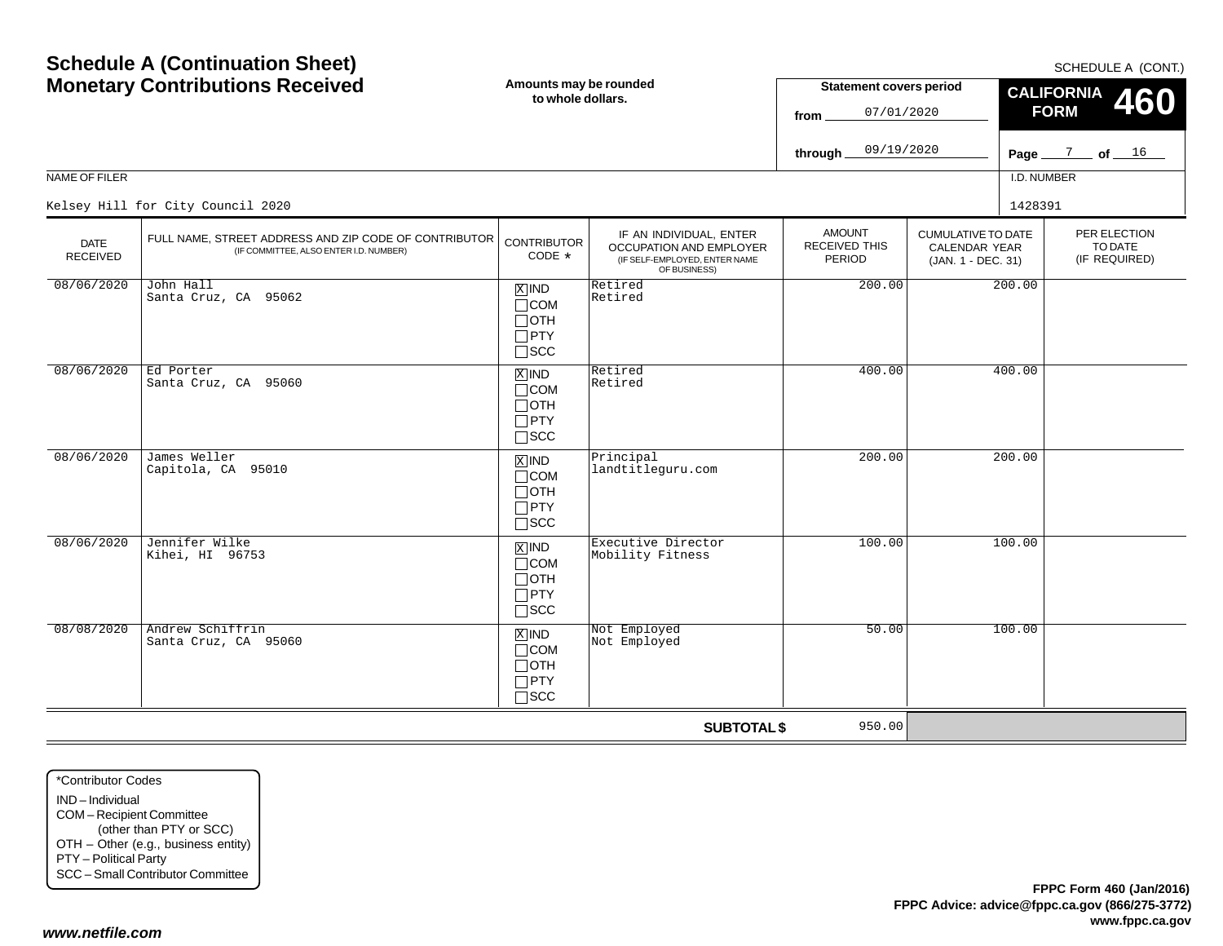| <b>Schedule A (Continuation Sheet)</b><br><b>Monetary Contributions Received</b> |                                                                                                 | Amounts may be rounded<br>to whole dollars.                        |                                                                                                            | <b>Statement covers period</b><br>07/01/2020<br>from<br>09/19/2020<br>through_ |                                                                  | SCHEDULE A (CONT<br><b>CALIFORNIA</b><br>460<br><b>FORM</b><br>Page $\frac{7}{2}$ of $\frac{16}{2}$ |  |  |
|----------------------------------------------------------------------------------|-------------------------------------------------------------------------------------------------|--------------------------------------------------------------------|------------------------------------------------------------------------------------------------------------|--------------------------------------------------------------------------------|------------------------------------------------------------------|-----------------------------------------------------------------------------------------------------|--|--|
| NAME OF FILER                                                                    |                                                                                                 |                                                                    |                                                                                                            |                                                                                |                                                                  | I.D. NUMBER                                                                                         |  |  |
|                                                                                  | Kelsey Hill for City Council 2020                                                               |                                                                    |                                                                                                            |                                                                                |                                                                  | 1428391                                                                                             |  |  |
| <b>DATE</b><br><b>RECEIVED</b>                                                   | FULL NAME, STREET ADDRESS AND ZIP CODE OF CONTRIBUTOR<br>(IF COMMITTEE, ALSO ENTER I.D. NUMBER) | <b>CONTRIBUTOR</b><br>CODE *                                       | IF AN INDIVIDUAL, ENTER<br><b>OCCUPATION AND EMPLOYER</b><br>(IF SELF-EMPLOYED, ENTER NAME<br>OF BUSINESS) | <b>AMOUNT</b><br>RECEIVED THIS<br>PERIOD                                       | <b>CUMULATIVE TO DATE</b><br>CALENDAR YEAR<br>(JAN. 1 - DEC. 31) | PER ELECTION<br>TO DATE<br>(IF REQUIRED)                                                            |  |  |
| 08/06/2020                                                                       | John Hall<br>Santa Cruz, CA 95062                                                               | $X$ IND<br>$\Box$ COM<br>$\Box$ OTH<br>$\Box$ PTY<br>$\Box$ scc    | Retired<br>Retired                                                                                         | 200.00                                                                         | 200.00                                                           |                                                                                                     |  |  |
| 08/06/2020                                                                       | Ed Porter<br>Santa Cruz, CA 95060                                                               | $X$ IND<br>$\Box$ COM<br>$\Box$ OTH<br>$\Box$ PTY<br>$\square$ SCC | Retired<br>Retired                                                                                         | 400.00                                                                         | 400.00                                                           |                                                                                                     |  |  |
| 08/06/2020                                                                       | James Weller<br>Capitola, CA 95010                                                              | $X$ IND<br>$\Box$ COM<br>$\Box$ OTH<br>$\Box$ PTY<br>$\Box$ SCC    | Principal<br>landtitleguru.com                                                                             | 200.00                                                                         | 200.00                                                           |                                                                                                     |  |  |
| 08/06/2020                                                                       | Jennifer Wilke<br>Kihei, HI 96753                                                               | $X$ IND<br>$\Box$ COM<br>$\Box$ OTH<br>$\Box$ PTY<br>$\square$ SCC | Executive Director<br>Mobility Fitness                                                                     | 100.00                                                                         | 100.00                                                           |                                                                                                     |  |  |
| 08/08/2020                                                                       | Andrew Schiffrin<br>Santa Cruz, CA 95060                                                        | $X$ IND<br>$\Box$ COM<br>$\Box$ OTH<br>$\Box$ PTY<br>$\exists$ scc | Not Employed<br>Not Employed                                                                               | 50.00                                                                          | 100.00                                                           |                                                                                                     |  |  |

**SUBTOTAL \$**

950.00

\*Contributor CodesIND – IndividualCOM – Recipient Committee (other than PTY or SCC) OTH – Other (e.g., business entity) PTY – Political Party SCC – Small Contributor Committee

SCHEDULE A (CONT.)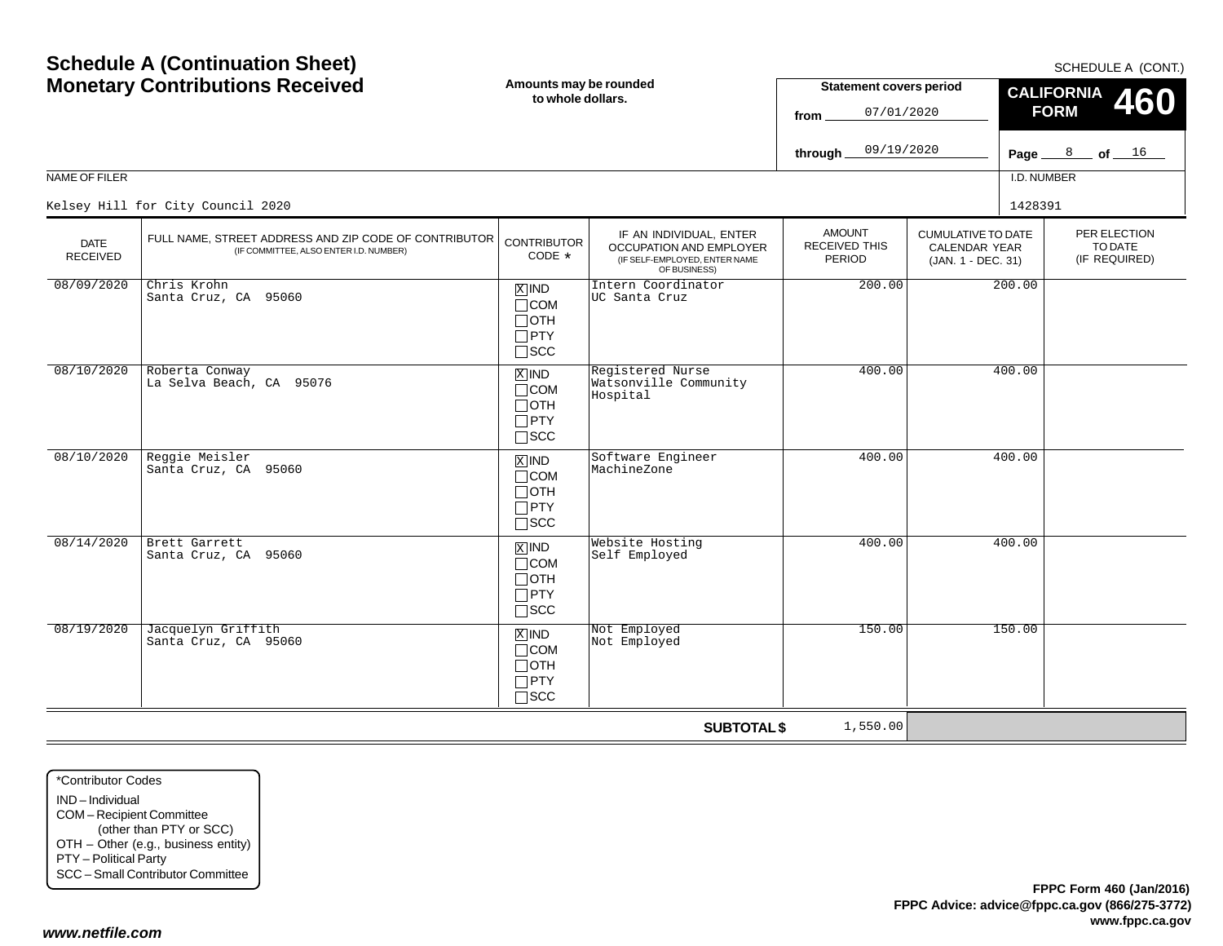\*Contributor CodesIND – IndividualCOM – Recipient Committee (other than PTY or SCC) OTH – Other (e.g., business entity) PTY – Political Party SCC – Small Contributor Committee

Page <u>\_\_\_\_8 \_\_</u>\_ of <u>\_\_\_16</u> **to whole dollars.**NAME OF FILERI.D. NUMBER**fromthrough FORM 460** PER ELECTIONTO DATE (IF REQUIRED) CUMULATIVE TO DATECALENDAR YEAR (JAN. 1 - DEC. 31) AMOUNTRECEIVED THISPERIODIF AN INDIVIDUAL, ENTER OCCUPATION AND EMPLOYER (IF SELF-EMPLOYED, ENTER NAME OF BUSINESS) DATE RECEIVEDFULL NAME, STREET ADDRESS AND ZIP CODE OF CONTRIBUTOR (IF COMMITTEE, ALSO ENTER I.D. NUMBER) CONTRIBUTORCODE\*IND X $\Box$ COM  $\Box$ OTH PTY  $\Box$ SCC xiind COM  $\Box$ OTH  $\Box$ PTY SCC IND XCOM OTH PTY  $\Box$ SCC IND  $\Box$ COM OTH  $\Box$ PTY  $\Box$ SCC IND $\Box$ COM OTH PTY  $\Box$ SCC 07/01/202009/19/2020Kelsey Hill for City Council 2020 <sup>1428391</sup> 08/09/2020 Chris Krohn Santa Cruz, CA 95060 Intern Coordinator UC Santa Cruz200.00 200.00 08/10/2020 Roberta Conway La Selva Beach, CA 95076 Registered Nurse Watsonville CommunityHospital400.00 400.00 08/10/2020 Reggie Meisler Santa Cruz, CA 95060Software Engineer<br>MachineZone ngineer 400.00 400.00 400.00 08/14/2020 Brett Garrett Santa Cruz, CA 95060 $\begin{array}{|c|c|c|c|}\n\hline\n\text{MMD} & \text{Website Hosting} & & & 400.00 & & 400.00 \\
\hline\n\text{Self Emploved} & & & & & & \\
\hline\n\end{array}$ 08/19/2020 Jacquelyn Griffith Santa Cruz, CA 95060 $\begin{array}{|l|c|c|c|}\hline \mathbb{X} & \mathbb{N} \mathsf{D} & \mathbb{N} \mathsf{ot} & \mathsf{Emploved} \ \hline \mathsf{I}\mathsf{C}\mathsf{C}\mathsf{M} & \mathbb{N} \mathsf{ot} & \mathsf{Emploved} \end{array} \hspace{2cm} \begin{array}{c} 150.00 \ 150.00 \end{array}$ 

**SUBTOTAL \$**

1,550.00

**Amounts may be rounded**

# **Schedule A (Continuation Sheet) Monetary Contributions Received**

SCHEDULE A (CONT.)

**CALIFORNIA**

**Statement covers period**

*www.netfile.com*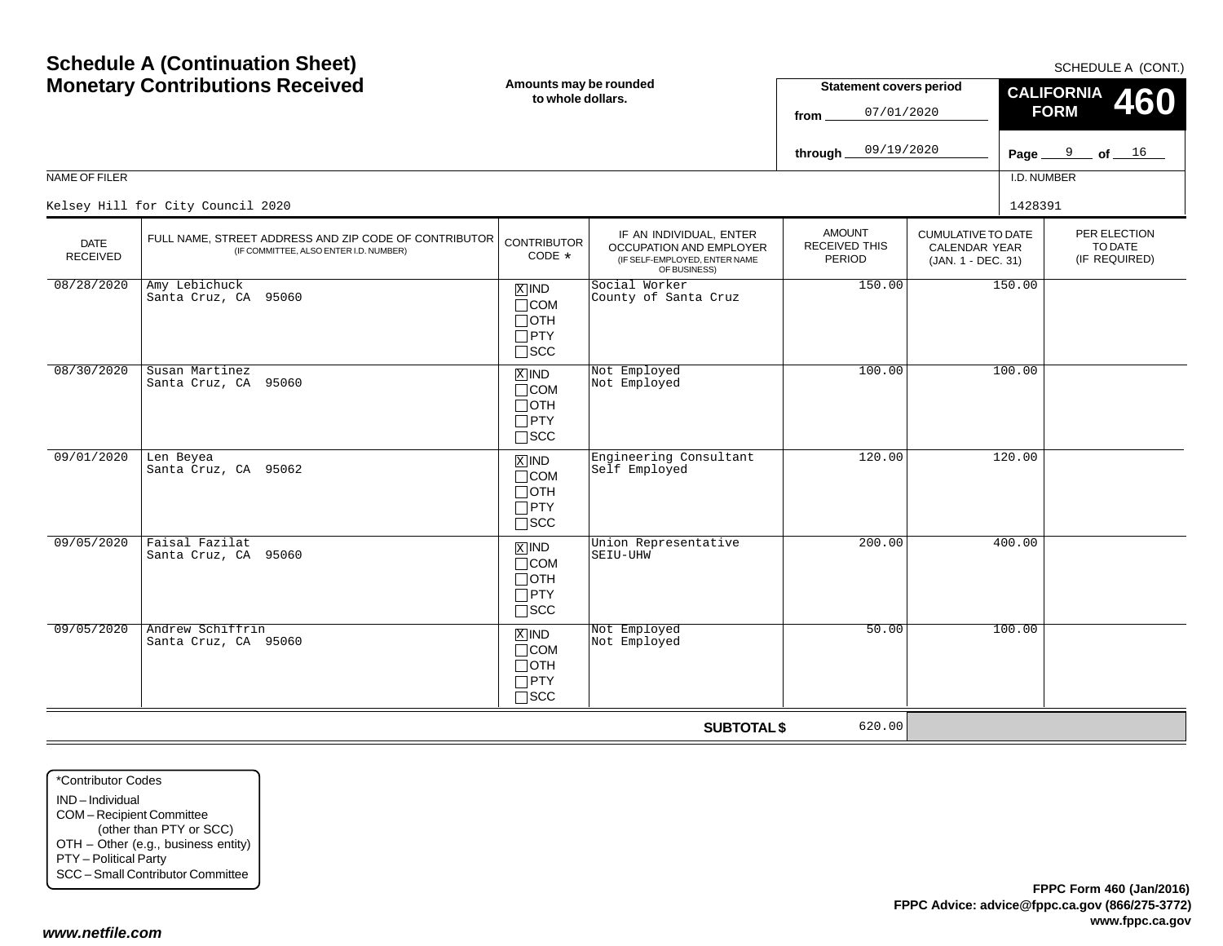\*Contributor CodesIND – IndividualCOM – Recipient Committee (other than PTY or SCC) OTH – Other (e.g., business entity) PTY – Political Party SCC – Small Contributor Committee

*www.netfile.com*

Page <u>\_\_\_\_9 \_\_</u>\_ of <u>\_\_\_16</u> NAME OF FILERI.D. NUMBER**through** PER ELECTIONTO DATE (IF REQUIRED) CUMULATIVE TO DATECALENDAR YEAR (JAN. 1 - DEC. 31) AMOUNTRECEIVED THISPERIODIF AN INDIVIDUAL, ENTER OCCUPATION AND EMPLOYER (IF SELF-EMPLOYED, ENTER NAME OF BUSINESS) DATE RECEIVEDFULL NAME, STREET ADDRESS AND ZIP CODE OF CONTRIBUTOR (IF COMMITTEE, ALSO ENTER I.D. NUMBER) CONTRIBUTORCODE\*IND X $\Box$ COM  $\Box$ OTH PTY  $\Box$ scc xiind COM  $\Box$ OTH  $\Box$ PTY SCC IND XCOM OTH PTY  $\Box$ SCC IND  $\Box$ COM OTH  $\Box$ PTY  $\Box$ SCC IND $\Box$ COM OTH PTY  $\Box$ SCC 09/19/2020Kelsey Hill for City Council 2020 <sup>1428391</sup> 08/28/2020 Amy Lebichuck Santa Cruz, CA 95060 Social Worker County of Santa Cruz $\begin{array}{|c|c|c|c|}\n\hline\nz & 150.00 & 150.00 \\
\hline\n\end{array}$ 08/30/2020 Susan Martinez Santa Cruz, CA 95060**X** IND Not Employed<br>
not Employed 100.00 100.00 09/01/2020 Len Beyea Santa Cruz, CA 95062 Engineering Consultant Self EmployedConsultant 120.00 120.00 09/05/2020 Faisal Fazilat Santa Cruz, CA 95060 $\begin{array}{|c|c|c|c|}\hline \mathbb{X} & \mathsf{IND} & \mathsf{Union} & \text{Representative} & \mathsf{200.00} \ \hline \mathbb{R} & \mathbb{S} & \mathbb{S} & \mathbb{S} & \mathbb{S} & \mathbb{S} & \mathbb{S} & \mathbb{S} & \mathbb{S} & \mathbb{S} & \mathbb{S} & \mathbb{S} & \mathbb{S} & \mathbb{S} & \mathbb{S} & \mathbb{S} & \mathbb{S} & \mathbb{S} & \mathbb{S} & \mathbb{S} & \mathbb{S} & \mathbb{S} & \mathbb{S$ 09/05/2020 Andrew Schiffrin Santa Cruz, CA 95060 $\begin{array}{|l|c|c|c|}\hline \mathbb{X} & \mathbb{N} \mathsf{D} & \mathbb{N} \mathsf{ot} & \mathsf{Emploved} \ \hline \mathsf{I}\mathsf{C}\mathsf{C}\mathsf{M} & \mathbb{N} \mathsf{ot} & \mathsf{Emploved} \end{array} \hspace{2cm} \begin{array}{c} \mathsf{50.00} \end{array} \hspace{2cm} \begin{array}{c} \mathsf{100.00} \end{array}$ 

**SUBTOTAL \$**

620.00

**Amounts may be rounded to whole dollars.Statement covers period fromCALIFORNIA FORM**07/01/2020

SCHEDULE A (CONT.)

**460**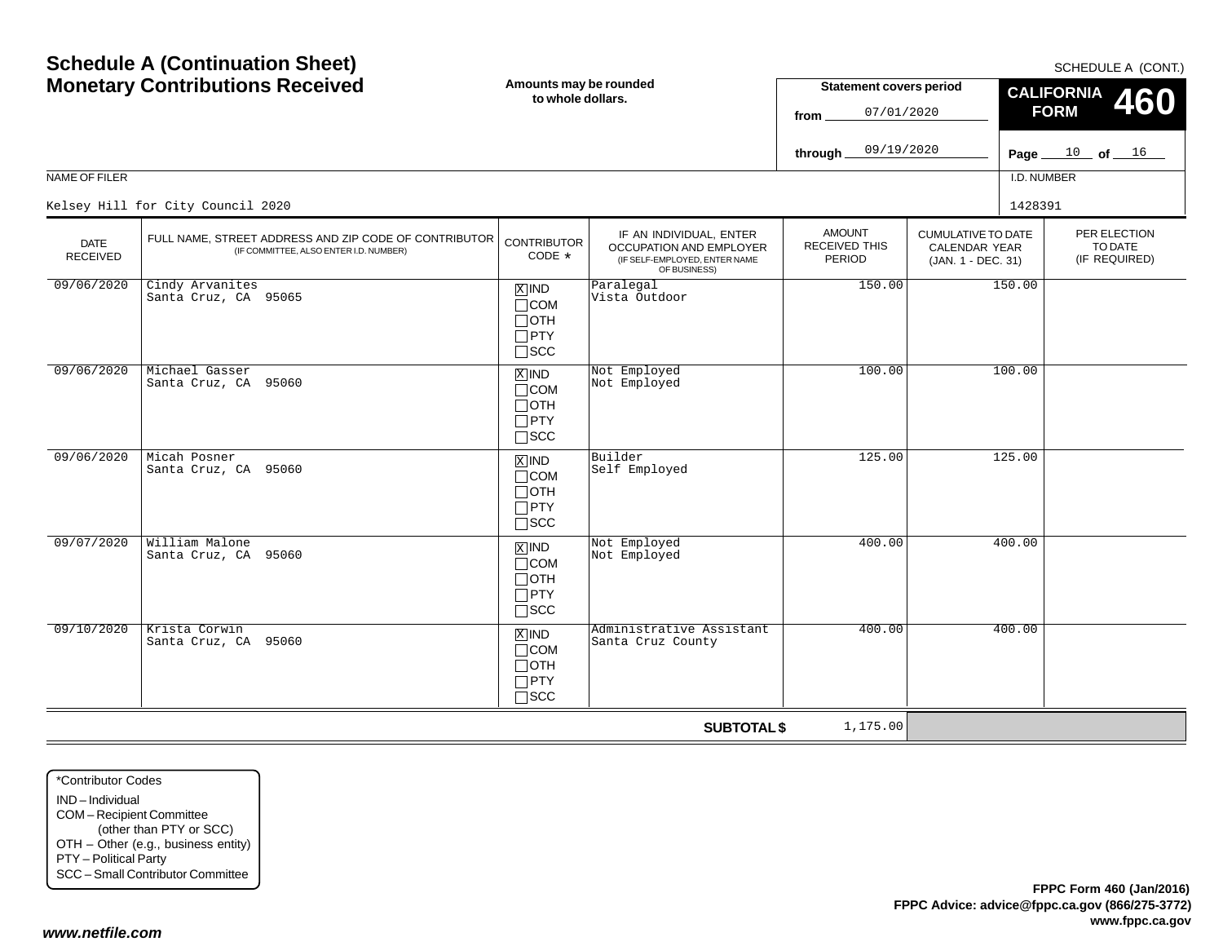| <b>NAME OF FILER</b>           | <b>Schedule A (Continuation Sheet)</b><br><b>Monetary Contributions Received</b><br>Kelsey Hill for City Council 2020 | Amounts may be rounded<br>to whole dollars.                                       |                                                                                                     | <b>Statement covers period</b><br>07/01/2020<br>from<br>09/19/2020<br>through |                                                                         | I.D. NUMBER<br>1428391 | SCHEDULE A (CONT.)<br><b>CALIFORNIA</b><br><b>460</b><br><b>FORM</b><br>Page $10$ of $16$ |
|--------------------------------|-----------------------------------------------------------------------------------------------------------------------|-----------------------------------------------------------------------------------|-----------------------------------------------------------------------------------------------------|-------------------------------------------------------------------------------|-------------------------------------------------------------------------|------------------------|-------------------------------------------------------------------------------------------|
| <b>DATE</b><br><b>RECEIVED</b> | FULL NAME, STREET ADDRESS AND ZIP CODE OF CONTRIBUTOR<br>(IF COMMITTEE, ALSO ENTER I.D. NUMBER)                       | <b>CONTRIBUTOR</b><br>$CODE *$                                                    | IF AN INDIVIDUAL, ENTER<br>OCCUPATION AND EMPLOYER<br>(IF SELF-EMPLOYED, ENTER NAME<br>OF BUSINESS) | <b>AMOUNT</b><br>RECEIVED THIS<br>PERIOD                                      | <b>CUMULATIVE TO DATE</b><br><b>CALENDAR YEAR</b><br>(JAN. 1 - DEC. 31) |                        | PER ELECTION<br>TO DATE<br>(IF REQUIRED)                                                  |
| 09/06/2020                     | Cindy Arvanites<br>Santa Cruz, CA 95065                                                                               | $X$ IND<br>$\Box$ COM<br>$\Box$ OTH<br>$\Box$ PTY<br>$\Box$ SCC                   | Paralegal<br>Vista Outdoor                                                                          | 150.00                                                                        | 150.00                                                                  |                        |                                                                                           |
| 09/06/2020                     | Michael Gasser<br>Santa Cruz, CA 95060                                                                                | $\boxed{\text{X}}$ IND<br>$\Box$ COM<br>$\Box$ OTH<br>$\Box$ PTY<br>$\square$ scc | Not Employed<br>Not Employed                                                                        | 100.00                                                                        |                                                                         | 100.00                 |                                                                                           |
| 09/06/2020                     | Micah Posner<br>Santa Cruz, CA 95060                                                                                  | $\overline{X}$ IND<br>$\Box$ COM<br>$\Box$ OTH<br>$\Box$ PTY<br>$\Box$ scc        | Builder<br>Self Employed                                                                            | 125.00                                                                        |                                                                         | 125.00                 |                                                                                           |
| 09/07/2020                     | William Malone<br>Santa Cruz, CA 95060                                                                                | $\boxed{\text{X}}$ IND<br>$\Box$ COM<br>$\Box$ OTH<br>$\Box$ PTY<br>$\square$ scc | Not Employed<br>Not Employed                                                                        | 400.00                                                                        |                                                                         | 400.00                 |                                                                                           |
| 09/10/2020                     | Krista Corwin<br>Santa Cruz, CA 95060                                                                                 | $X$ IND<br>$\Box$ COM<br>$\Box$ OTH<br>$\Box$ PTY<br>$\Box$ scc                   | Administrative Assistant<br>Santa Cruz County                                                       | 400.00                                                                        |                                                                         | 400.00                 |                                                                                           |
|                                |                                                                                                                       |                                                                                   | <b>SUBTOTAL \$</b>                                                                                  | 1,175.00                                                                      |                                                                         |                        |                                                                                           |

\*Contributor CodesIND – Individual COM – Recipient Committee (other than PTY or SCC) OTH – Other (e.g., business entity) PTY – Political Party SCC – Small Contributor Committee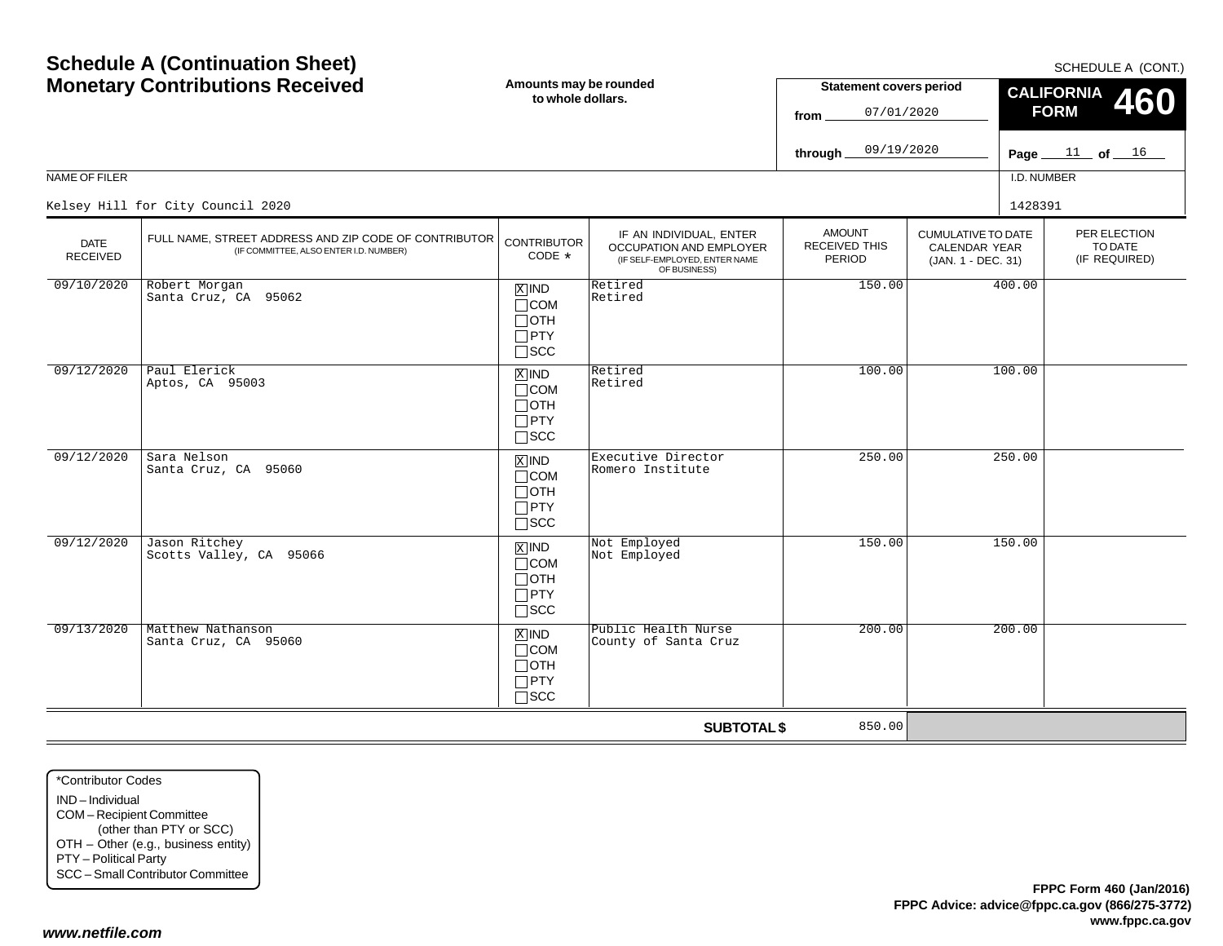|            |                                           |                                                                               | OF BUSINESS)                                |        |        |
|------------|-------------------------------------------|-------------------------------------------------------------------------------|---------------------------------------------|--------|--------|
| 09/10/2020 | Robert Morgan<br>Santa Cruz, CA 95062     | $X$ IND<br>$\Box$ COM<br>$\Box$ OTH<br>$\square$ PTY<br>$\square$ SCC         | Retired<br>Retired                          | 150.00 | 400.00 |
| 09/12/2020 | Paul Elerick<br>Aptos, CA 95003           | $X$ IND<br>$\Box$ COM<br>$\Box$ OTH<br>$\Box$ PTY<br>$\square$ SCC            | Retired<br>Retired                          | 100.00 | 100.00 |
| 09/12/2020 | Sara Nelson<br>Santa Cruz, CA 95060       | $X$ IND<br>$\Box$ COM<br>$\Box$ OTH<br>$\Box$ PTY<br>$\square$ SCC            | Executive Director<br>Romero Institute      | 250.00 | 250.00 |
| 09/12/2020 | Jason Ritchey<br>Scotts Valley, CA 95066  | $\overline{X}$ IND<br>$\Box$ COM<br>$\Box$ OTH<br>$\Box$ PTY<br>$\square$ SCC | Not Employed<br>Not Employed                | 150.00 | 150.00 |
| 09/13/2020 | Matthew Nathanson<br>Santa Cruz, CA 95060 | $X$ IND<br>$\Box$ COM<br>$\Box$ OTH<br>$\Box$ PTY<br>$\Box$ scc               | Public Health Nurse<br>County of Santa Cruz | 200.00 | 200.00 |
|            |                                           |                                                                               | <b>SUBTOTAL \$</b>                          | 850.00 |        |

FULL NAME, STREET ADDRESS AND ZIP CODE OF CONTRIBUTOR (IF COMMITTEE, ALSO ENTER I.D. NUMBER)

#### NAME OF FILER

DATERECEIVED

Kelsey Hill for City Council 2020<sup>1428391</sup>

# **Schedule A (Continuation Sheet) Monetary Contributions Received**

IF AN INDIVIDUAL, ENTER OCCUPATION AND EMPLOYER(IF SELF-EMPLOYED, ENTER NAME

**from**

**through**

AMOUNTRECEIVED THISPERIOD

**Statement covers period**

07/01/2020

09/19/2020

**CONTRIBUTOR** CODE\*

SCHEDULE A (CONT.)

PER ELECTIONTO DATE(IF REQUIRED)

**460**

**Page of**  11 <sup>16</sup>

I.D. NUMBER

100.00

CUMULATIVE TO DATE CALENDAR YEAR(JAN. 1 - DEC. 31)

**CALIFORNIA FORM**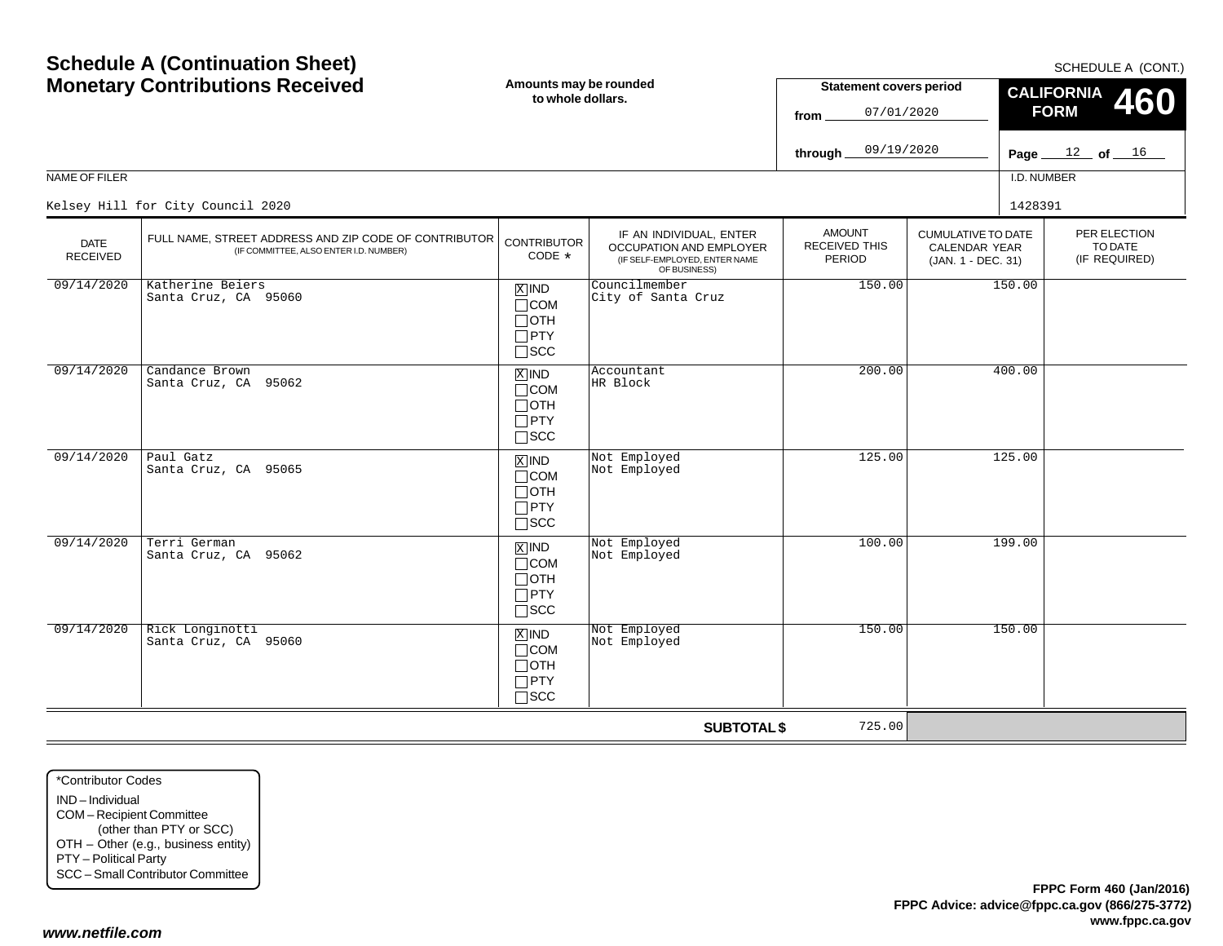### **Amounts may be rounded Schedule A (Continuation Sheet) Monetary Contributions Received**

Santa Cruz, CA 95065COMOTHPTYSCC09/14/20200 | Terri German<br>Carrie Guile INDSanta Cruz, CA 95062COMOTHPTYSCC09/14/20200 Rick Longinotti INDSanta Cruz, CA 95060COMOTHPTYSCC $\equiv$ \*Contributor CodesIND – IndividualCOM – Recipient Committee (other than PTY or SCC) OTH – Other (e.g., business entity) PTY – Political Party SCC – Small Contributor Committee *www.netfile.com*

| <b>FPPC Form 460 (Jan/2016)</b>                |  |
|------------------------------------------------|--|
| FPPC Advice: advice@fppc.ca.gov (866/275-3772) |  |
| www.fppc.ca.gov                                |  |

|                                |                                                                                                 |                                                                               |                                                                                                     | 09/19/2020<br>through _                         |                                                                         |             | Page $12$ of $16$                        |
|--------------------------------|-------------------------------------------------------------------------------------------------|-------------------------------------------------------------------------------|-----------------------------------------------------------------------------------------------------|-------------------------------------------------|-------------------------------------------------------------------------|-------------|------------------------------------------|
| NAME OF FILER                  |                                                                                                 |                                                                               |                                                                                                     |                                                 |                                                                         | I.D. NUMBER |                                          |
|                                | Kelsey Hill for City Council 2020                                                               |                                                                               |                                                                                                     |                                                 |                                                                         | 1428391     |                                          |
| <b>DATE</b><br><b>RECEIVED</b> | FULL NAME, STREET ADDRESS AND ZIP CODE OF CONTRIBUTOR<br>(IF COMMITTEE, ALSO ENTER I.D. NUMBER) | <b>CONTRIBUTOR</b><br>CODE *                                                  | IF AN INDIVIDUAL, ENTER<br>OCCUPATION AND EMPLOYER<br>(IF SELF-EMPLOYED, ENTER NAME<br>OF BUSINESS) | <b>AMOUNT</b><br><b>RECEIVED THIS</b><br>PERIOD | <b>CUMULATIVE TO DATE</b><br><b>CALENDAR YEAR</b><br>(JAN. 1 - DEC. 31) |             | PER ELECTION<br>TO DATE<br>(IF REQUIRED) |
| 09/14/2020                     | Katherine Beiers<br>Santa Cruz, CA 95060                                                        | $\overline{X}$ IND<br>$\Box$ COM<br>$\Box$ OTH<br>$\Box$ PTY<br>$\square$ SCC | Councilmember<br>City of Santa Cruz                                                                 | 150.00                                          |                                                                         | 150.00      |                                          |
| 09/14/2020                     | Candance Brown<br>Santa Cruz, CA 95062                                                          | $X$ IND<br>$\Box$ COM<br>$\Box$ OTH<br>$\Box$ PTY<br>$\square$ SCC            | Accountant<br>HR Block                                                                              | 200.00                                          |                                                                         | 400.00      |                                          |
| 09/14/2020                     | Paul Gatz<br>Santa Cruz, CA 95065                                                               | $\overline{X}$ IND<br>$\Box$ COM<br>$\Box$ OTH<br>$\Box$ PTY<br>$\Box$ scc    | Not Employed<br>Not Employed                                                                        | 125.00                                          |                                                                         | 125.00      |                                          |
| 09/14/2020                     | Terri German<br>Santa Cruz, CA 95062                                                            | $\overline{X}$ IND<br>$\Box$ COM<br>$\Box$ OTH<br>$\Box$ PTY<br>$\square$ SCC | Not Employed<br>Not Employed                                                                        | 100.00                                          |                                                                         | 199.00      |                                          |
| 09/14/2020                     | Rick Longinotti<br>Santa Cruz, CA 95060                                                         | $X$ IND<br>$\Box$ COM<br>$\Box$ OTH<br>$\Box$ PTY<br>$\square$ SCC            | Not Employed<br>Not Employed                                                                        | 150.00                                          |                                                                         | 150.00      |                                          |
|                                |                                                                                                 | 725.00<br><b>SUBTOTAL \$</b>                                                  |                                                                                                     |                                                 |                                                                         |             |                                          |

**to whole dollars.**

SCHEDULE A (CONT.)

**CALIFORNIA FORM 460**

**Statement covers period**

07/01/2020

**from**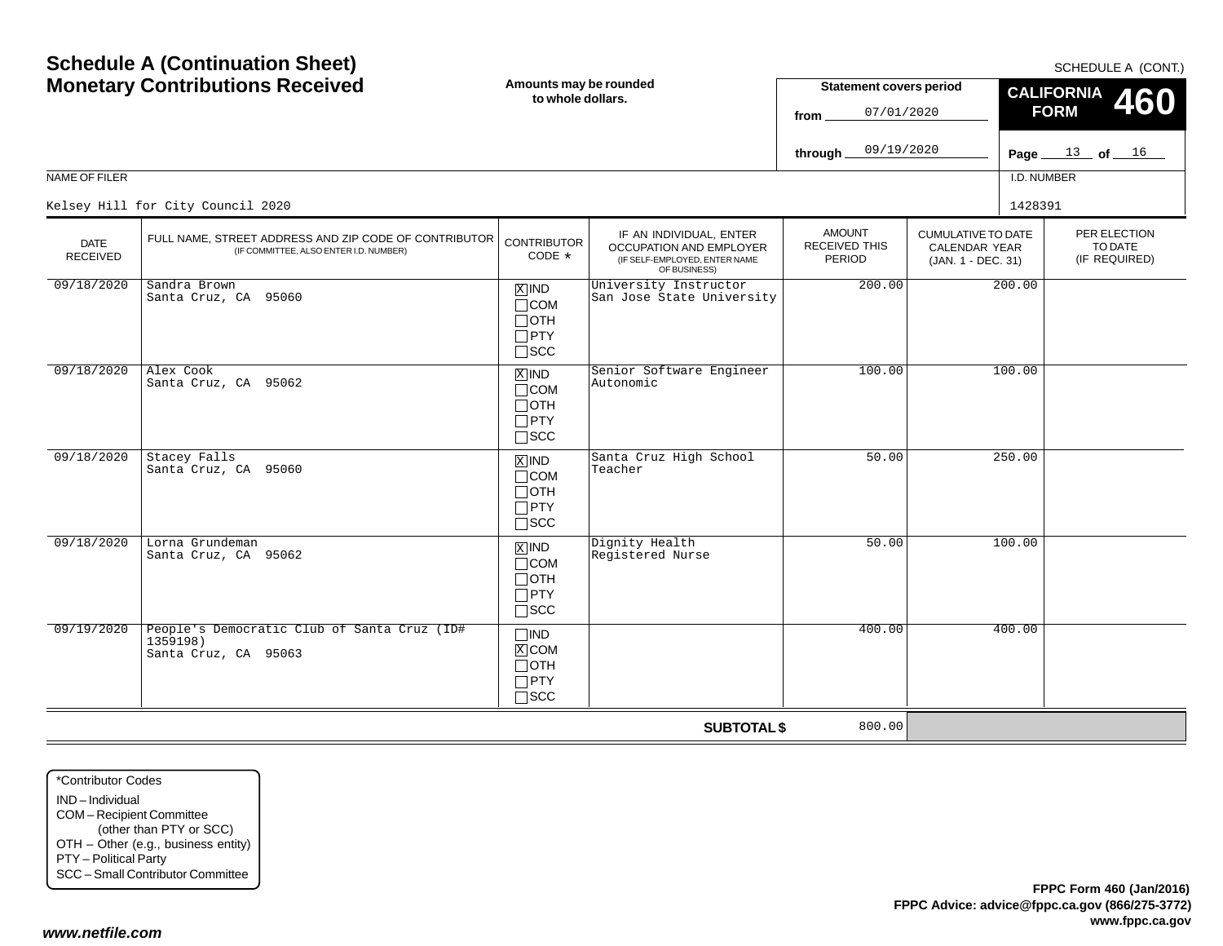| NAME OF FILER           | Kelsey Hill for City Council 2020                                                               |                                                                               |                                                                                                     |                                          |                                                                  | I.D. NUMBER<br>1428391                   |
|-------------------------|-------------------------------------------------------------------------------------------------|-------------------------------------------------------------------------------|-----------------------------------------------------------------------------------------------------|------------------------------------------|------------------------------------------------------------------|------------------------------------------|
| <b>DATE</b><br>RECEIVED | FULL NAME, STREET ADDRESS AND ZIP CODE OF CONTRIBUTOR<br>(IF COMMITTEE, ALSO ENTER I.D. NUMBER) | <b>CONTRIBUTOR</b><br>CODE *                                                  | IF AN INDIVIDUAL, ENTER<br>OCCUPATION AND EMPLOYER<br>(IF SELF-EMPLOYED, ENTER NAME<br>OF BUSINESS) | <b>AMOUNT</b><br>RECEIVED THIS<br>PERIOD | <b>CUMULATIVE TO DATE</b><br>CALENDAR YEAR<br>(JAN. 1 - DEC. 31) | PER ELECTION<br>TO DATE<br>(IF REQUIRED) |
| 09/18/2020              | Sandra Brown<br>Santa Cruz, CA 95060                                                            | $X$ IND<br>$\Box$ COM<br>$\Box$ OTH<br>$\Box$ PTY<br>$\Box$ scc               | University Instructor<br>San Jose State University                                                  | 200.00                                   | 200.00                                                           |                                          |
| 09/18/2020              | Alex Cook<br>Santa Cruz, CA 95062                                                               | $X$ IND<br>$\Box$ COM<br>$\Box$ OTH<br>$\Box$ PTY<br>$\Box$ SCC               | Senior Software Engineer<br>Autonomic                                                               | 100.00                                   | 100.00                                                           |                                          |
| 09/18/2020              | Stacey Falls<br>Santa Cruz, CA 95060                                                            | $X$ IND<br>$\Box$ COM<br>$\Box$ OTH<br>$\Box$ PTY<br>$\square$ SCC            | Santa Cruz High School<br>Teacher                                                                   | 50.00                                    | 250.00                                                           |                                          |
| 09/18/2020              | Lorna Grundeman<br>Santa Cruz, CA 95062                                                         | $\overline{X}$ IND<br>$\Box$ COM<br>$\Box$ OTH<br>$\Box$ PTY<br>$\square$ SCC | Dignity Health<br>Registered Nurse                                                                  | 50.00                                    | 100.00                                                           |                                          |
| 09/19/2020              | People's Democratic Club of Santa Cruz (ID#<br>1359198)<br>Santa Cruz, CA 95063                 | $\Box$ IND<br>$X$ COM<br>$\Box$ OTH<br>$\Box$ PTY<br>$\square$ SCC            |                                                                                                     | 400.00                                   | 400.00                                                           |                                          |
|                         |                                                                                                 |                                                                               | <b>SUBTOTAL \$</b>                                                                                  | 800.00                                   |                                                                  |                                          |

**to whole dollars.**

IND – IndividualCOM – Recipient Committee (other than PTY or SCC) OTH – Other (e.g., business entity) PTY – Political Party SCC – Small Contributor Committee

*www.netfile.com*

## **Amounts may be rounded Schedule A (Continuation Sheet) Monetary Contributions Received**

SCHEDULE A (CONT.)

**460**

<sup>16</sup>

**CALIFORNIA FORM**

**Statement covers period**

07/01/2020

**from**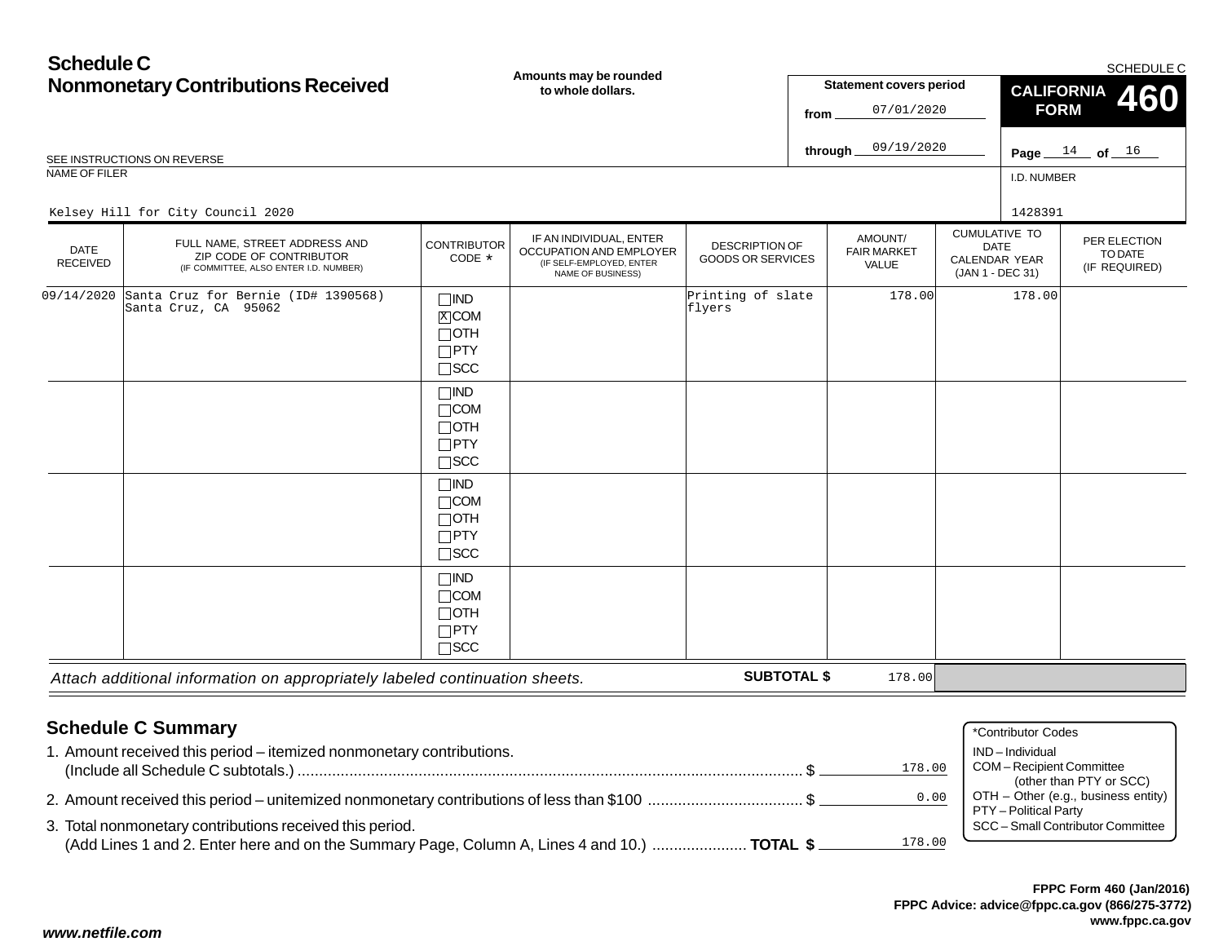| <b>Schedule C</b>              |                                                                                                    |                                                                          | Amounts may be rounded                                                                                     |                                                   |      |                                        |             |                                                           | <b>SCHEDULE C</b>                        |
|--------------------------------|----------------------------------------------------------------------------------------------------|--------------------------------------------------------------------------|------------------------------------------------------------------------------------------------------------|---------------------------------------------------|------|----------------------------------------|-------------|-----------------------------------------------------------|------------------------------------------|
|                                | <b>Nonmonetary Contributions Received</b>                                                          |                                                                          | to whole dollars.                                                                                          |                                                   |      | <b>Statement covers period</b>         |             | <b>CALIFORNIA</b><br>460                                  |                                          |
|                                |                                                                                                    |                                                                          |                                                                                                            |                                                   | from | 07/01/2020                             |             | <b>FORM</b>                                               |                                          |
|                                | SEE INSTRUCTIONS ON REVERSE                                                                        |                                                                          |                                                                                                            |                                                   |      | 09/19/2020<br>through.                 |             |                                                           | Page $14$ of $16$                        |
| <b>NAME OF FILER</b>           |                                                                                                    |                                                                          |                                                                                                            |                                                   |      |                                        |             | I.D. NUMBER                                               |                                          |
|                                | Kelsey Hill for City Council 2020                                                                  |                                                                          |                                                                                                            |                                                   |      |                                        |             | 1428391                                                   |                                          |
| <b>DATE</b><br><b>RECEIVED</b> | FULL NAME, STREET ADDRESS AND<br>ZIP CODE OF CONTRIBUTOR<br>(IF COMMITTEE, ALSO ENTER I.D. NUMBER) | <b>CONTRIBUTOR</b><br>CODE *                                             | IF AN INDIVIDUAL, ENTER<br>OCCUPATION AND EMPLOYER<br>(IF SELF-EMPLOYED, ENTER<br><b>NAME OF BUSINESS)</b> | <b>DESCRIPTION OF</b><br><b>GOODS OR SERVICES</b> |      | AMOUNT/<br><b>FAIR MARKET</b><br>VALUE | <b>DATE</b> | <b>CUMULATIVE TO</b><br>CALENDAR YEAR<br>(JAN 1 - DEC 31) | PER ELECTION<br>TO DATE<br>(IF REQUIRED) |
| 09/14/2020                     | Santa Cruz for Bernie (ID# 1390568)<br>Santa Cruz, CA 95062                                        | $\square$ IND<br>$X$ COM<br>$\Box$ OTH<br>$\square$ PTY<br>$\square$ SCC |                                                                                                            | Printing of slate<br>flyers                       |      | 178.00                                 |             | 178.00                                                    |                                          |
|                                |                                                                                                    | $\Box$ IND<br>$\Box$ COM<br>$\Box$ OTH<br>$\Box$ PTY<br>$\square$ SCC    |                                                                                                            |                                                   |      |                                        |             |                                                           |                                          |
|                                |                                                                                                    | $\square$ IND<br>$\Box$ COM<br>$\Box$ OTH<br>$\Box$ PTY<br>$\sqcap$ SCC  |                                                                                                            |                                                   |      |                                        |             |                                                           |                                          |

| <b>Schedule C Summary</b>                                                                              | *Contributor Codes                                           |
|--------------------------------------------------------------------------------------------------------|--------------------------------------------------------------|
| 1. Amount received this period - itemized nonmonetary contributions.                                   | IND-Individual                                               |
| 178.00                                                                                                 | <b>COM-Recipient Committee</b><br>(other than PTY or SCC)    |
| 0.00                                                                                                   | OTH - Other (e.g., business entity)<br>PTY - Political Party |
| 3. Total nonmonetary contributions received this period.                                               | SCC - Small Contributor Committee                            |
| 178.00<br>(Add Lines 1 and 2. Enter here and on the Summary Page, Column A, Lines 4 and 10.)  TOTAL \$ |                                                              |

**SUBTOTAL \$**

178.00

*Attach additional information on appropriately labeled continuation sheets.*

IND COM

OTH PTY SCC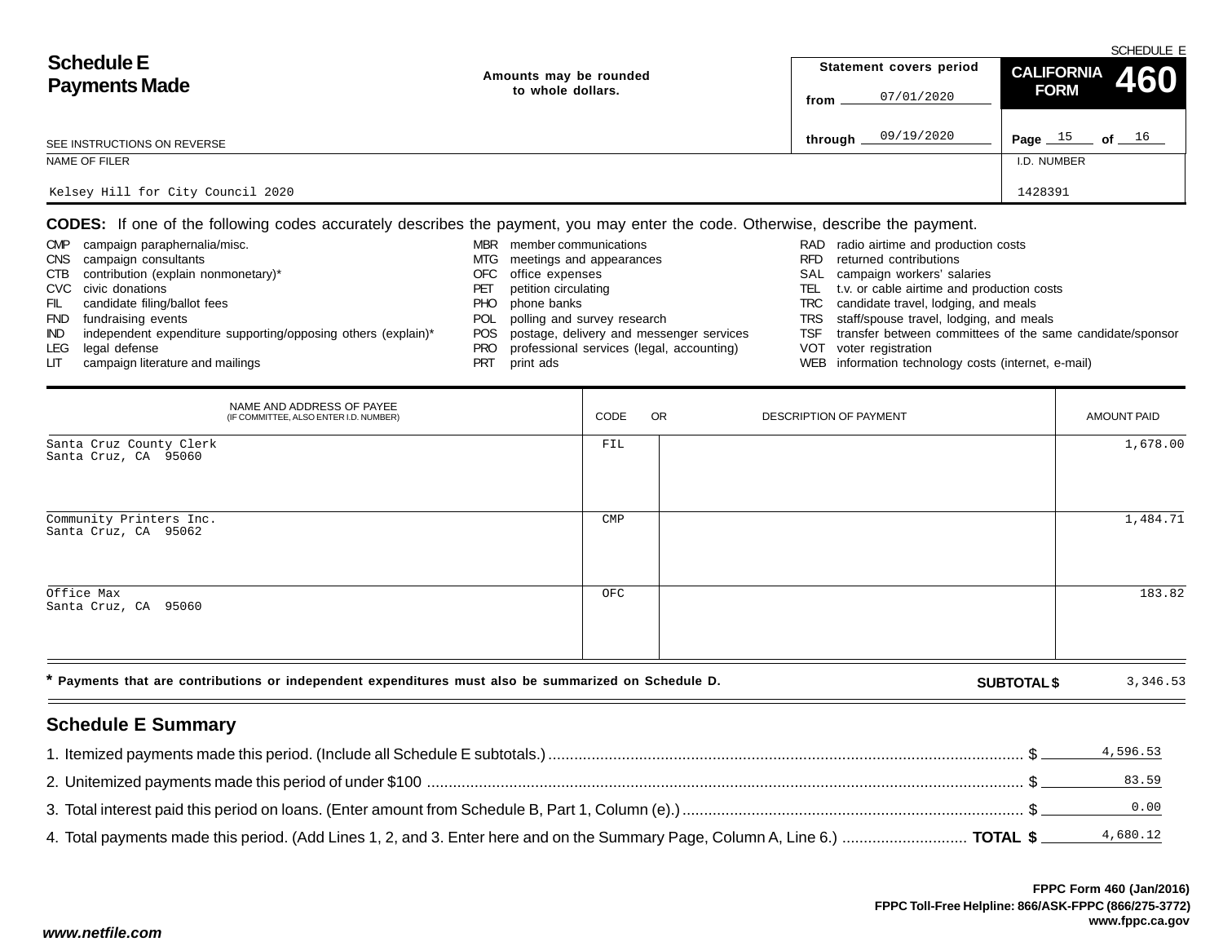|                                   |                        | SCHEDULE E              |                      |  |  |  |  |  |
|-----------------------------------|------------------------|-------------------------|----------------------|--|--|--|--|--|
| <b>Schedule E</b>                 | Amounts may be rounded | Statement covers period | CALIFORNIA 460       |  |  |  |  |  |
| <b>Payments Made</b>              | to whole dollars.      | 07/01/2020<br>from      | <b>FORM</b>          |  |  |  |  |  |
| SEE INSTRUCTIONS ON REVERSE       |                        | 09/19/2020<br>through.  | Page $15$<br>of $16$ |  |  |  |  |  |
| NAME OF FILER                     |                        |                         | I.D. NUMBER          |  |  |  |  |  |
| Kelsey Hill for City Council 2020 |                        |                         | 1428391              |  |  |  |  |  |

**CODES:** If one of the following codes accurately describes the payment, you may enter the code. Otherwise, describe the payment.

| <b>CMP</b> | campaign paraphernalia/misc.                                  | MBR        | member communications                        |      | RAD radio airtime and production costs                    |
|------------|---------------------------------------------------------------|------------|----------------------------------------------|------|-----------------------------------------------------------|
| <b>CNS</b> | campaign consultants                                          |            | MTG meetings and appearances                 | RFD. | returned contributions                                    |
| CTB        | contribution (explain nonmonetary)*                           |            | OFC office expenses                          |      | SAL campaign workers' salaries                            |
|            | CVC civic donations                                           |            | petition circulating                         | TEL  | t.v. or cable airtime and production costs                |
| FIL        | candidate filing/ballot fees                                  | PHO.       | phone banks                                  |      | TRC candidate travel, lodging, and meals                  |
| <b>FND</b> | fundraising events                                            | <b>POL</b> | polling and survey research                  |      | TRS staff/spouse travel, lodging, and meals               |
| IND.       | independent expenditure supporting/opposing others (explain)* |            | POS postage, delivery and messenger services | TSF  | transfer between committees of the same candidate/sponsor |
| LEG        | legal defense                                                 | PRO        | professional services (legal, accounting)    |      | VOT voter registration                                    |
| LIT.       | campaign literature and mailings                              |            | print ads                                    |      | WEB information technology costs (internet, e-mail)       |

| NAME AND ADDRESS OF PAYEE<br>(IF COMMITTEE, ALSO ENTER I.D. NUMBER)                                  | CODE           | OR | DESCRIPTION OF PAYMENT |                    | <b>AMOUNT PAID</b> |
|------------------------------------------------------------------------------------------------------|----------------|----|------------------------|--------------------|--------------------|
| Santa Cruz County Clerk<br>Santa Cruz, CA 95060                                                      | FIL            |    |                        |                    | 1,678.00           |
| Community Printers Inc.<br>Santa Cruz, CA 95062                                                      | $\texttt{CMP}$ |    |                        |                    | 1,484.71           |
| Office Max<br>Santa Cruz, CA 95060                                                                   | OFC            |    |                        |                    | 183.82             |
| * Payments that are contributions or independent expenditures must also be summarized on Schedule D. |                |    |                        | <b>SUBTOTAL \$</b> | 3,346.53           |

# **Schedule E Summary**

|                                                                                                                              | 4,596.53 |
|------------------------------------------------------------------------------------------------------------------------------|----------|
|                                                                                                                              | 83.59    |
|                                                                                                                              | 0.00     |
| 4. Total payments made this period. (Add Lines 1, 2, and 3. Enter here and on the Summary Page, Column A, Line 6.)  TOTAL \$ | 4,680.12 |